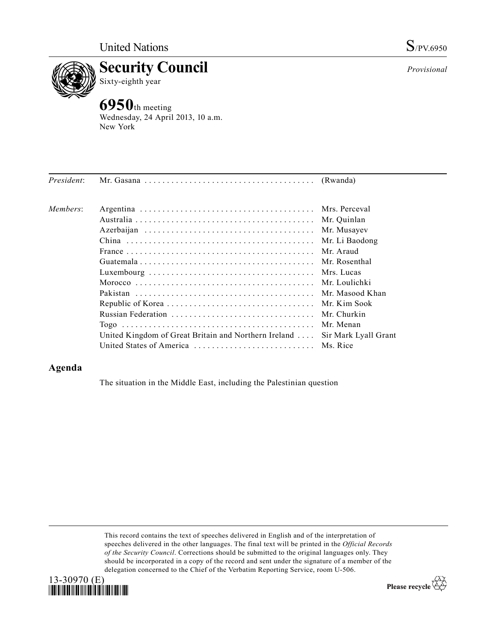

## **Example 3 Security Council**<br>Sixty-eighth year Sixty-eighth year

**6950**th meeting Wednesday, 24 April 2013, 10 a.m. New York

| President: |                                                      |                      |
|------------|------------------------------------------------------|----------------------|
| Members:   |                                                      |                      |
|            |                                                      |                      |
|            |                                                      | Mr. Musayev          |
|            |                                                      | Mr. Li Baodong       |
|            |                                                      | Mr Araud             |
|            |                                                      |                      |
|            |                                                      | Mrs. Lucas           |
|            |                                                      |                      |
|            |                                                      | Mr. Masood Khan      |
|            |                                                      |                      |
|            |                                                      | Mr. Churkin          |
|            |                                                      | Mr Menan             |
|            | United Kingdom of Great Britain and Northern Ireland | Sir Mark Lyall Grant |
|            | United States of America  Ms. Rice                   |                      |

## **Agenda**

The situation in the Middle East, including the Palestinian question

This record contains the text of speeches delivered in English and of the interpretation of speeches delivered in the other languages. The final text will be printed in the *Official Records of the Security Council*. Corrections should be submitted to the original languages only. They should be incorporated in a copy of the record and sent under the signature of a member of the delegation concerned to the Chief of the Verbatim Reporting Service, room U-506.



Please recycle  $\overleftrightarrow{C}$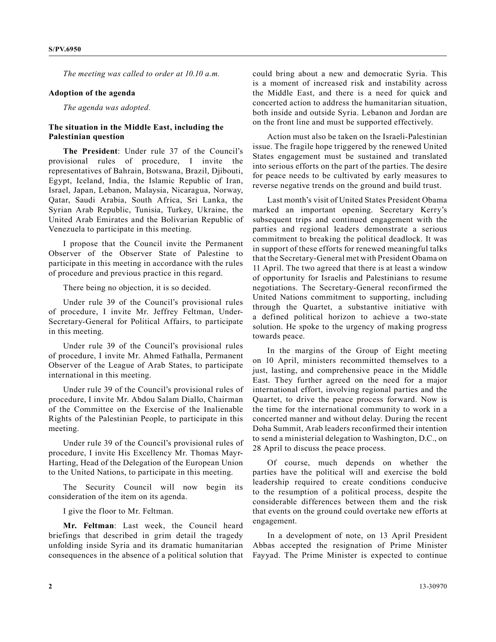*The meeting was called to order at 10.10 a.m.* 

## **Adoption of the agenda**

*The agenda was adopted.*

## **The situation in the Middle East, including the Palestinian question**

**The President**: Under rule 37 of the Council's provisional rules of procedure, I invite the representatives of Bahrain, Botswana, Brazil, Djibouti, Egypt, Iceland, India, the Islamic Republic of Iran, Israel, Japan, Lebanon, Malaysia, Nicaragua, Norway, Qatar, Saudi Arabia, South Africa, Sri Lanka, the Syrian Arab Republic, Tunisia, Turkey, Ukraine, the United Arab Emirates and the Bolivarian Republic of Venezuela to participate in this meeting.

I propose that the Council invite the Permanent Observer of the Observer State of Palestine to participate in this meeting in accordance with the rules of procedure and previous practice in this regard.

There being no objection, it is so decided.

Under rule 39 of the Council's provisional rules of procedure, I invite Mr. Jeffrey Feltman, Under-Secretary-General for Political Affairs, to participate in this meeting.

Under rule 39 of the Council's provisional rules of procedure, I invite Mr. Ahmed Fathalla, Permanent Observer of the League of Arab States, to participate international in this meeting.

Under rule 39 of the Council's provisional rules of procedure, I invite Mr. Abdou Salam Diallo, Chairman of the Committee on the Exercise of the Inalienable Rights of the Palestinian People, to participate in this meeting.

Under rule 39 of the Council's provisional rules of procedure, I invite His Excellency Mr. Thomas Mayr-Harting, Head of the Delegation of the European Union to the United Nations, to participate in this meeting.

The Security Council will now begin its consideration of the item on its agenda.

I give the floor to Mr. Feltman.

**Mr. Feltman**: Last week, the Council heard briefings that described in grim detail the tragedy unfolding inside Syria and its dramatic humanitarian consequences in the absence of a political solution that could bring about a new and democratic Syria. This is a moment of increased risk and instability across the Middle East, and there is a need for quick and concerted action to address the humanitarian situation, both inside and outside Syria. Lebanon and Jordan are on the front line and must be supported effectively.

Action must also be taken on the Israeli-Palestinian issue. The fragile hope triggered by the renewed United States engagement must be sustained and translated into serious efforts on the part of the parties. The desire for peace needs to be cultivated by early measures to reverse negative trends on the ground and build trust.

Last month's visit of United States President Obama marked an important opening. Secretary Kerry's subsequent trips and continued engagement with the parties and regional leaders demonstrate a serious commitment to breaking the political deadlock. It was in support of these efforts for renewed meaningful talks that the Secretary-General met with President Obama on 11 April. The two agreed that there is at least a window of opportunity for Israelis and Palestinians to resume negotiations. The Secretary-General reconfirmed the United Nations commitment to supporting, including through the Quartet, a substantive initiative with a defined political horizon to achieve a two-state solution. He spoke to the urgency of making progress towards peace.

In the margins of the Group of Eight meeting on 10 April, ministers recommitted themselves to a just, lasting, and comprehensive peace in the Middle East. They further agreed on the need for a major international effort, involving regional parties and the Quartet, to drive the peace process forward. Now is the time for the international community to work in a concerted manner and without delay. During the recent Doha Summit, Arab leaders reconfirmed their intention to send a ministerial delegation to Washington, D.C., on 28 April to discuss the peace process.

Of course, much depends on whether the parties have the political will and exercise the bold leadership required to create conditions conducive to the resumption of a political process, despite the considerable differences between them and the risk that events on the ground could overtake new efforts at engagement.

In a development of note, on 13 April President Abbas accepted the resignation of Prime Minister Fayyad. The Prime Minister is expected to continue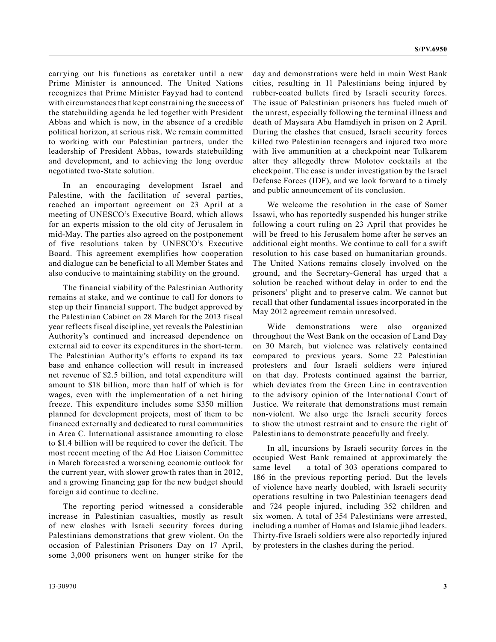carrying out his functions as caretaker until a new Prime Minister is announced. The United Nations recognizes that Prime Minister Fayyad had to contend with circumstances that kept constraining the success of the statebuilding agenda he led together with President Abbas and which is now, in the absence of a credible political horizon, at serious risk. We remain committed to working with our Palestinian partners, under the leadership of President Abbas, towards statebuilding and development, and to achieving the long overdue negotiated two-State solution.

In an encouraging development Israel and Palestine, with the facilitation of several parties, reached an important agreement on 23 April at a meeting of UNESCO's Executive Board, which allows for an experts mission to the old city of Jerusalem in mid-May. The parties also agreed on the postponement of five resolutions taken by UNESCO's Executive Board. This agreement exemplifies how cooperation and dialogue can be beneficial to all Member States and also conducive to maintaining stability on the ground.

The financial viability of the Palestinian Authority remains at stake, and we continue to call for donors to step up their financial support. The budget approved by the Palestinian Cabinet on 28 March for the 2013 fiscal year reflects fiscal discipline, yet reveals the Palestinian Authority's continued and increased dependence on external aid to cover its expenditures in the short-term. The Palestinian Authority's efforts to expand its tax base and enhance collection will result in increased net revenue of \$2.5 billion, and total expenditure will amount to \$18 billion, more than half of which is for wages, even with the implementation of a net hiring freeze. This expenditure includes some \$350 million planned for development projects, most of them to be financed externally and dedicated to rural communities in Area C. International assistance amounting to close to \$1.4 billion will be required to cover the deficit. The most recent meeting of the Ad Hoc Liaison Committee in March forecasted a worsening economic outlook for the current year, with slower growth rates than in 2012, and a growing financing gap for the new budget should foreign aid continue to decline.

The reporting period witnessed a considerable increase in Palestinian casualties, mostly as result of new clashes with Israeli security forces during Palestinians demonstrations that grew violent. On the occasion of Palestinian Prisoners Day on 17 April, some 3,000 prisoners went on hunger strike for the day and demonstrations were held in main West Bank cities, resulting in 11 Palestinians being injured by rubber-coated bullets fired by Israeli security forces. The issue of Palestinian prisoners has fueled much of the unrest, especially following the terminal illness and death of Maysara Abu Hamdiyeh in prison on 2 April. During the clashes that ensued, Israeli security forces killed two Palestinian teenagers and injured two more with live ammunition at a checkpoint near Tulkarem alter they allegedly threw Molotov cocktails at the checkpoint. The case is under investigation by the Israel Defense Forces (IDF), and we look forward to a timely and public announcement of its conclusion.

We welcome the resolution in the case of Samer Issawi, who has reportedly suspended his hunger strike following a court ruling on 23 April that provides he will be freed to his Jerusalem home after he serves an additional eight months. We continue to call for a swift resolution to his case based on humanitarian grounds. The United Nations remains closely involved on the ground, and the Secretary-General has urged that a solution be reached without delay in order to end the prisoners' plight and to preserve calm. We cannot but recall that other fundamental issues incorporated in the May 2012 agreement remain unresolved.

Wide demonstrations were also organized throughout the West Bank on the occasion of Land Day on 30 March, but violence was relatively contained compared to previous years. Some 22 Palestinian protesters and four Israeli soldiers were injured on that day. Protests continued against the barrier, which deviates from the Green Line in contravention to the advisory opinion of the International Court of Justice. We reiterate that demonstrations must remain non-violent. We also urge the Israeli security forces to show the utmost restraint and to ensure the right of Palestinians to demonstrate peacefully and freely.

In all, incursions by Israeli security forces in the occupied West Bank remained at approximately the same level — a total of 303 operations compared to 186 in the previous reporting period. But the levels of violence have nearly doubled, with Israeli security operations resulting in two Palestinian teenagers dead and 724 people injured, including 352 children and six women. A total of 354 Palestinians were arrested, including a number of Hamas and Islamic jihad leaders. Thirty-five Israeli soldiers were also reportedly injured by protesters in the clashes during the period.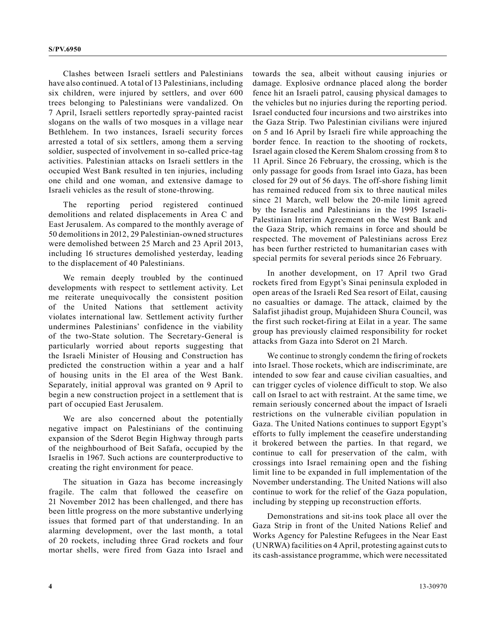Clashes between Israeli settlers and Palestinians have also continued. A total of 13 Palestinians, including six children, were injured by settlers, and over 600 trees belonging to Palestinians were vandalized. On 7 April, Israeli settlers reportedly spray-painted racist slogans on the walls of two mosques in a village near Bethlehem. In two instances, Israeli security forces arrested a total of six settlers, among them a serving soldier, suspected of involvement in so-called price-tag activities. Palestinian attacks on Israeli settlers in the occupied West Bank resulted in ten injuries, including one child and one woman, and extensive damage to Israeli vehicles as the result of stone-throwing.

The reporting period registered continued demolitions and related displacements in Area C and East Jerusalem. As compared to the monthly average of 50 demolitions in 2012, 29 Palestinian-owned structures were demolished between 25 March and 23 April 2013, including 16 structures demolished yesterday, leading to the displacement of 40 Palestinians.

We remain deeply troubled by the continued developments with respect to settlement activity. Let me reiterate unequivocally the consistent position of the United Nations that settlement activity violates international law. Settlement activity further undermines Palestinians' confidence in the viability of the two-State solution. The Secretary-General is particularly worried about reports suggesting that the Israeli Minister of Housing and Construction has predicted the construction within a year and a half of housing units in the El area of the West Bank. Separately, initial approval was granted on 9 April to begin a new construction project in a settlement that is part of occupied East Jerusalem.

We are also concerned about the potentially negative impact on Palestinians of the continuing expansion of the Sderot Begin Highway through parts of the neighbourhood of Beit Safafa, occupied by the Israelis in 1967. Such actions are counterproductive to creating the right environment for peace.

The situation in Gaza has become increasingly fragile. The calm that followed the ceasefire on 21 November 2012 has been challenged, and there has been little progress on the more substantive underlying issues that formed part of that understanding. In an alarming development, over the last month, a total of 20 rockets, including three Grad rockets and four mortar shells, were fired from Gaza into Israel and

towards the sea, albeit without causing injuries or damage. Explosive ordnance placed along the border fence hit an Israeli patrol, causing physical damages to the vehicles but no injuries during the reporting period. Israel conducted four incursions and two airstrikes into the Gaza Strip. Two Palestinian civilians were injured on 5 and 16 April by Israeli fire while approaching the border fence. In reaction to the shooting of rockets, Israel again closed the Kerem Shalom crossing from 8 to 11 April. Since 26 February, the crossing, which is the only passage for goods from Israel into Gaza, has been closed for 29 out of 56 days. The off-shore fishing limit has remained reduced from six to three nautical miles since 21 March, well below the 20-mile limit agreed by the Israelis and Palestinians in the 1995 Israeli-Palestinian Interim Agreement on the West Bank and the Gaza Strip, which remains in force and should be respected. The movement of Palestinians across Erez has been further restricted to humanitarian cases with special permits for several periods since 26 February.

In another development, on 17 April two Grad rockets fired from Egypt's Sinai peninsula exploded in open areas of the Israeli Red Sea resort of Eilat, causing no casualties or damage. The attack, claimed by the Salafist jihadist group, Mujahideen Shura Council, was the first such rocket-firing at Eilat in a year. The same group has previously claimed responsibility for rocket attacks from Gaza into Sderot on 21 March.

We continue to strongly condemn the firing of rockets into Israel. Those rockets, which are indiscriminate, are intended to sow fear and cause civilian casualties, and can trigger cycles of violence difficult to stop. We also call on Israel to act with restraint. At the same time, we remain seriously concerned about the impact of Israeli restrictions on the vulnerable civilian population in Gaza. The United Nations continues to support Egypt's efforts to fully implement the ceasefire understanding it brokered between the parties. In that regard, we continue to call for preservation of the calm, with crossings into Israel remaining open and the fishing limit line to be expanded in full implementation of the November understanding. The United Nations will also continue to work for the relief of the Gaza population, including by stepping up reconstruction efforts.

Demonstrations and sit-ins took place all over the Gaza Strip in front of the United Nations Relief and Works Agency for Palestine Refugees in the Near East (UNRWA) facilities on 4 April, protesting against cuts to its cash-assistance programme, which were necessitated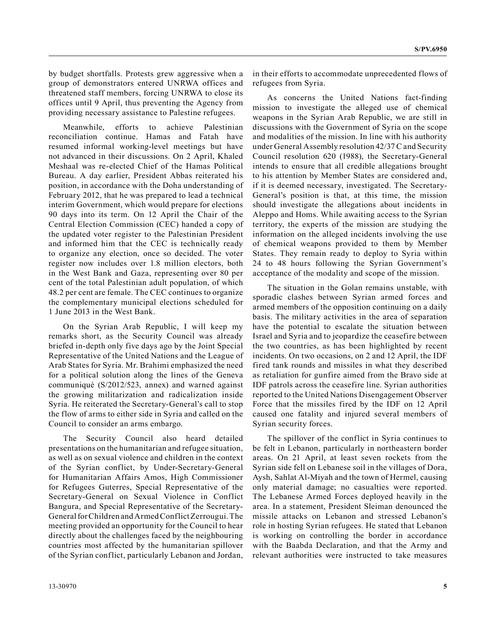by budget shortfalls. Protests grew aggressive when a group of demonstrators entered UNRWA offices and threatened staff members, forcing UNRWA to close its offices until 9 April, thus preventing the Agency from providing necessary assistance to Palestine refugees.

Meanwhile, efforts to achieve Palestinian reconciliation continue. Hamas and Fatah have resumed informal working-level meetings but have not advanced in their discussions. On 2 April, Khaled Meshaal was re-elected Chief of the Hamas Political Bureau. A day earlier, President Abbas reiterated his position, in accordance with the Doha understanding of February 2012, that he was prepared to lead a technical interim Government, which would prepare for elections 90 days into its term. On 12 April the Chair of the Central Election Commission (CEC) handed a copy of the updated voter register to the Palestinian President and informed him that the CEC is technically ready to organize any election, once so decided. The voter register now includes over 1.8 million electors, both in the West Bank and Gaza, representing over 80 per cent of the total Palestinian adult population, of which 48.2 per cent are female. The CEC continues to organize the complementary municipal elections scheduled for 1 June 2013 in the West Bank.

On the Syrian Arab Republic, I will keep my remarks short, as the Security Council was already briefed in-depth only five days ago by the Joint Special Representative of the United Nations and the League of Arab States for Syria. Mr. Brahimi emphasized the need for a political solution along the lines of the Geneva communiqué (S/2012/523, annex) and warned against the growing militarization and radicalization inside Syria. He reiterated the Secretary-General's call to stop the flow of arms to either side in Syria and called on the Council to consider an arms embargo.

The Security Council also heard detailed presentations on the humanitarian and refugee situation, as well as on sexual violence and children in the context of the Syrian conflict, by Under-Secretary-General for Humanitarian Affairs Amos, High Commissioner for Refugees Guterres, Special Representative of the Secretary-General on Sexual Violence in Conflict Bangura, and Special Representative of the Secretary-General for Children and Armed Conflict Zerrougui. The meeting provided an opportunity for the Council to hear directly about the challenges faced by the neighbouring countries most affected by the humanitarian spillover of the Syrian conflict, particularly Lebanon and Jordan,

in their efforts to accommodate unprecedented flows of refugees from Syria.

As concerns the United Nations fact-finding mission to investigate the alleged use of chemical weapons in the Syrian Arab Republic, we are still in discussions with the Government of Syria on the scope and modalities of the mission. In line with his authority under General Assembly resolution 42/37 C and Security Council resolution 620 (1988), the Secretary-General intends to ensure that all credible allegations brought to his attention by Member States are considered and, if it is deemed necessary, investigated. The Secretary-General's position is that, at this time, the mission should investigate the allegations about incidents in Aleppo and Homs. While awaiting access to the Syrian territory, the experts of the mission are studying the information on the alleged incidents involving the use of chemical weapons provided to them by Member States. They remain ready to deploy to Syria within 24 to 48 hours following the Syrian Government's acceptance of the modality and scope of the mission.

The situation in the Golan remains unstable, with sporadic clashes between Syrian armed forces and armed members of the opposition continuing on a daily basis. The military activities in the area of separation have the potential to escalate the situation between Israel and Syria and to jeopardize the ceasefire between the two countries, as has been highlighted by recent incidents. On two occasions, on 2 and 12 April, the IDF fired tank rounds and missiles in what they described as retaliation for gunfire aimed from the Bravo side at IDF patrols across the ceasefire line. Syrian authorities reported to the United Nations Disengagement Observer Force that the missiles fired by the IDF on 12 April caused one fatality and injured several members of Syrian security forces.

The spillover of the conflict in Syria continues to be felt in Lebanon, particularly in northeastern border areas. On 21 April, at least seven rockets from the Syrian side fell on Lebanese soil in the villages of Dora, Aysh, Sahlat Al-Miyah and the town of Hermel, causing only material damage; no casualties were reported. The Lebanese Armed Forces deployed heavily in the area. In a statement, President Sleiman denounced the missile attacks on Lebanon and stressed Lebanon's role in hosting Syrian refugees. He stated that Lebanon is working on controlling the border in accordance with the Baabda Declaration, and that the Army and relevant authorities were instructed to take measures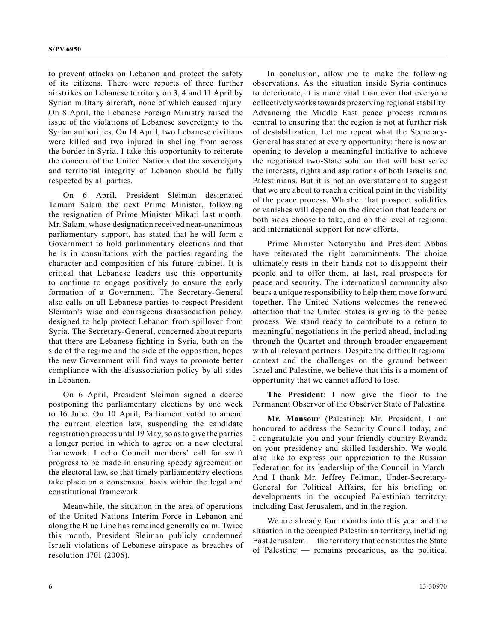to prevent attacks on Lebanon and protect the safety of its citizens. There were reports of three further airstrikes on Lebanese territory on 3, 4 and 11 April by Syrian military aircraft, none of which caused injury. On 8 April, the Lebanese Foreign Ministry raised the issue of the violations of Lebanese sovereignty to the Syrian authorities. On 14 April, two Lebanese civilians were killed and two injured in shelling from across the border in Syria. I take this opportunity to reiterate the concern of the United Nations that the sovereignty and territorial integrity of Lebanon should be fully respected by all parties.

On 6 April, President Sleiman designated Tamam Salam the next Prime Minister, following the resignation of Prime Minister Mikati last month. Mr. Salam, whose designation received near-unanimous parliamentary support, has stated that he will form a Government to hold parliamentary elections and that he is in consultations with the parties regarding the character and composition of his future cabinet. It is critical that Lebanese leaders use this opportunity to continue to engage positively to ensure the early formation of a Government. The Secretary-General also calls on all Lebanese parties to respect President Sleiman's wise and courageous disassociation policy, designed to help protect Lebanon from spillover from Syria. The Secretary-General, concerned about reports that there are Lebanese fighting in Syria, both on the side of the regime and the side of the opposition, hopes the new Government will find ways to promote better compliance with the disassociation policy by all sides in Lebanon.

On 6 April, President Sleiman signed a decree postponing the parliamentary elections by one week to 16 June. On 10 April, Parliament voted to amend the current election law, suspending the candidate registration process until 19 May, so as to give the parties a longer period in which to agree on a new electoral framework. I echo Council members' call for swift progress to be made in ensuring speedy agreement on the electoral law, so that timely parliamentary elections take place on a consensual basis within the legal and constitutional framework.

Meanwhile, the situation in the area of operations of the United Nations Interim Force in Lebanon and along the Blue Line has remained generally calm. Twice this month, President Sleiman publicly condemned Israeli violations of Lebanese airspace as breaches of resolution 1701 (2006).

In conclusion, allow me to make the following observations. As the situation inside Syria continues to deteriorate, it is more vital than ever that everyone collectively works towards preserving regional stability. Advancing the Middle East peace process remains central to ensuring that the region is not at further risk of destabilization. Let me repeat what the Secretary-General has stated at every opportunity: there is now an opening to develop a meaningful initiative to achieve the negotiated two-State solution that will best serve the interests, rights and aspirations of both Israelis and Palestinians. But it is not an overstatement to suggest that we are about to reach a critical point in the viability of the peace process. Whether that prospect solidifies or vanishes will depend on the direction that leaders on both sides choose to take, and on the level of regional and international support for new efforts.

Prime Minister Netanyahu and President Abbas have reiterated the right commitments. The choice ultimately rests in their hands not to disappoint their people and to offer them, at last, real prospects for peace and security. The international community also bears a unique responsibility to help them move forward together. The United Nations welcomes the renewed attention that the United States is giving to the peace process. We stand ready to contribute to a return to meaningful negotiations in the period ahead, including through the Quartet and through broader engagement with all relevant partners. Despite the difficult regional context and the challenges on the ground between Israel and Palestine, we believe that this is a moment of opportunity that we cannot afford to lose.

**The President**: I now give the floor to the Permanent Observer of the Observer State of Palestine.

**Mr. Mansour** (Palestine): Mr. President, I am honoured to address the Security Council today, and I congratulate you and your friendly country Rwanda on your presidency and skilled leadership. We would also like to express our appreciation to the Russian Federation for its leadership of the Council in March. And I thank Mr. Jeffrey Feltman, Under-Secretary-General for Political Affairs, for his briefing on developments in the occupied Palestinian territory, including East Jerusalem, and in the region.

We are already four months into this year and the situation in the occupied Palestinian territory, including East Jerusalem — the territory that constitutes the State of Palestine — remains precarious, as the political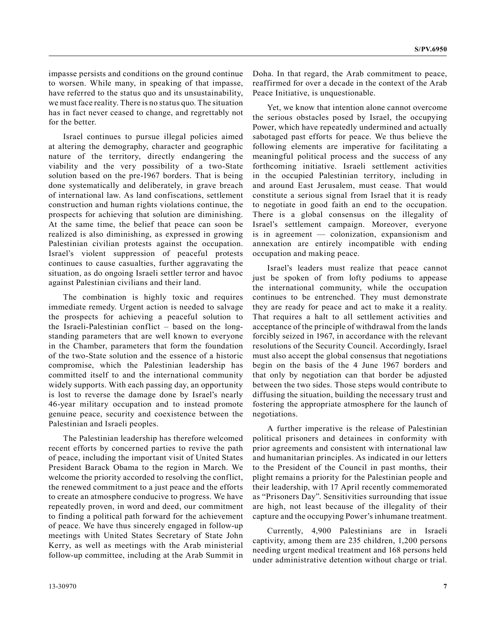impasse persists and conditions on the ground continue to worsen. While many, in speaking of that impasse, have referred to the status quo and its unsustainability, we must face reality. There is no status quo. The situation has in fact never ceased to change, and regrettably not for the better.

Israel continues to pursue illegal policies aimed at altering the demography, character and geographic nature of the territory, directly endangering the viability and the very possibility of a two-State solution based on the pre-1967 borders. That is being done systematically and deliberately, in grave breach of international law. As land confiscations, settlement construction and human rights violations continue, the prospects for achieving that solution are diminishing. At the same time, the belief that peace can soon be realized is also diminishing, as expressed in growing Palestinian civilian protests against the occupation. Israel's violent suppression of peaceful protests continues to cause casualties, further aggravating the situation, as do ongoing Israeli settler terror and havoc against Palestinian civilians and their land.

The combination is highly toxic and requires immediate remedy. Urgent action is needed to salvage the prospects for achieving a peaceful solution to the Israeli-Palestinian conflict – based on the longstanding parameters that are well known to everyone in the Chamber, parameters that form the foundation of the two-State solution and the essence of a historic compromise, which the Palestinian leadership has committed itself to and the international community widely supports. With each passing day, an opportunity is lost to reverse the damage done by Israel's nearly 46-year military occupation and to instead promote genuine peace, security and coexistence between the Palestinian and Israeli peoples.

The Palestinian leadership has therefore welcomed recent efforts by concerned parties to revive the path of peace, including the important visit of United States President Barack Obama to the region in March. We welcome the priority accorded to resolving the conflict, the renewed commitment to a just peace and the efforts to create an atmosphere conducive to progress. We have repeatedly proven, in word and deed, our commitment to finding a political path forward for the achievement of peace. We have thus sincerely engaged in follow-up meetings with United States Secretary of State John Kerry, as well as meetings with the Arab ministerial follow-up committee, including at the Arab Summit in

Yet, we know that intention alone cannot overcome the serious obstacles posed by Israel, the occupying Power, which have repeatedly undermined and actually sabotaged past efforts for peace. We thus believe the following elements are imperative for facilitating a meaningful political process and the success of any forthcoming initiative. Israeli settlement activities in the occupied Palestinian territory, including in and around East Jerusalem, must cease. That would constitute a serious signal from Israel that it is ready to negotiate in good faith an end to the occupation. There is a global consensus on the illegality of Israel's settlement campaign. Moreover, everyone is in agreement — colonization, expansionism and annexation are entirely incompatible with ending occupation and making peace.

Israel's leaders must realize that peace cannot just be spoken of from lofty podiums to appease the international community, while the occupation continues to be entrenched. They must demonstrate they are ready for peace and act to make it a reality. That requires a halt to all settlement activities and acceptance of the principle of withdrawal from the lands forcibly seized in 1967, in accordance with the relevant resolutions of the Security Council. Accordingly, Israel must also accept the global consensus that negotiations begin on the basis of the 4 June 1967 borders and that only by negotiation can that border be adjusted between the two sides. Those steps would contribute to diffusing the situation, building the necessary trust and fostering the appropriate atmosphere for the launch of negotiations.

A further imperative is the release of Palestinian political prisoners and detainees in conformity with prior agreements and consistent with international law and humanitarian principles. As indicated in our letters to the President of the Council in past months, their plight remains a priority for the Palestinian people and their leadership, with 17 April recently commemorated as "Prisoners Day". Sensitivities surrounding that issue are high, not least because of the illegality of their capture and the occupying Power's inhumane treatment.

Currently, 4,900 Palestinians are in Israeli captivity, among them are 235 children, 1,200 persons needing urgent medical treatment and 168 persons held under administrative detention without charge or trial.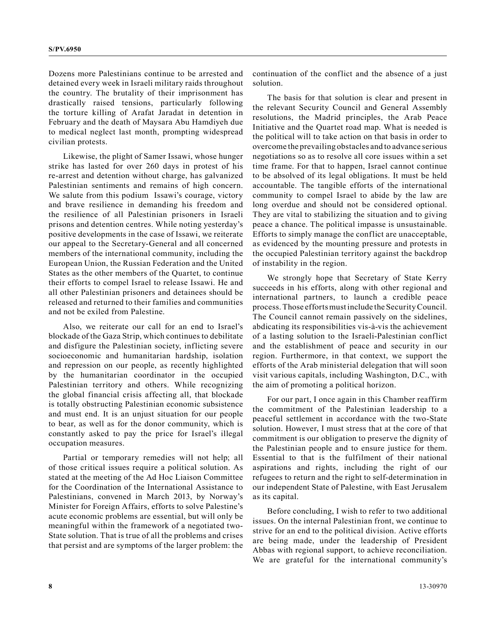Dozens more Palestinians continue to be arrested and detained every week in Israeli military raids throughout the country. The brutality of their imprisonment has drastically raised tensions, particularly following the torture killing of Arafat Jaradat in detention in February and the death of Maysara Abu Hamdiyeh due to medical neglect last month, prompting widespread civilian protests.

Likewise, the plight of Samer Issawi, whose hunger strike has lasted for over 260 days in protest of his re-arrest and detention without charge, has galvanized Palestinian sentiments and remains of high concern. We salute from this podium Issawi's courage, victory and brave resilience in demanding his freedom and the resilience of all Palestinian prisoners in Israeli prisons and detention centres. While noting yesterday's positive developments in the case of Issawi, we reiterate our appeal to the Secretary-General and all concerned members of the international community, including the European Union, the Russian Federation and the United States as the other members of the Quartet, to continue their efforts to compel Israel to release Issawi. He and all other Palestinian prisoners and detainees should be released and returned to their families and communities and not be exiled from Palestine.

Also, we reiterate our call for an end to Israel's blockade of the Gaza Strip, which continues to debilitate and disfigure the Palestinian society, inflicting severe socioeconomic and humanitarian hardship, isolation and repression on our people, as recently highlighted by the humanitarian coordinator in the occupied Palestinian territory and others. While recognizing the global financial crisis affecting all, that blockade is totally obstructing Palestinian economic subsistence and must end. It is an unjust situation for our people to bear, as well as for the donor community, which is constantly asked to pay the price for Israel's illegal occupation measures.

Partial or temporary remedies will not help; all of those critical issues require a political solution. As stated at the meeting of the Ad Hoc Liaison Committee for the Coordination of the International Assistance to Palestinians, convened in March 2013, by Norway's Minister for Foreign Affairs, efforts to solve Palestine's acute economic problems are essential, but will only be meaningful within the framework of a negotiated two-State solution. That is true of all the problems and crises that persist and are symptoms of the larger problem: the continuation of the conflict and the absence of a just solution.

The basis for that solution is clear and present in the relevant Security Council and General Assembly resolutions, the Madrid principles, the Arab Peace Initiative and the Quartet road map. What is needed is the political will to take action on that basis in order to overcome the prevailing obstacles and to advance serious negotiations so as to resolve all core issues within a set time frame. For that to happen, Israel cannot continue to be absolved of its legal obligations. It must be held accountable. The tangible efforts of the international community to compel Israel to abide by the law are long overdue and should not be considered optional. They are vital to stabilizing the situation and to giving peace a chance. The political impasse is unsustainable. Efforts to simply manage the conflict are unacceptable, as evidenced by the mounting pressure and protests in the occupied Palestinian territory against the backdrop of instability in the region.

We strongly hope that Secretary of State Kerry succeeds in his efforts, along with other regional and international partners, to launch a credible peace process. Those efforts must include the Security Council. The Council cannot remain passively on the sidelines, abdicating its responsibilities vis-à-vis the achievement of a lasting solution to the Israeli-Palestinian conflict and the establishment of peace and security in our region. Furthermore, in that context, we support the efforts of the Arab ministerial delegation that will soon visit various capitals, including Washington, D.C., with the aim of promoting a political horizon.

For our part, I once again in this Chamber reaffirm the commitment of the Palestinian leadership to a peaceful settlement in accordance with the two-State solution. However, I must stress that at the core of that commitment is our obligation to preserve the dignity of the Palestinian people and to ensure justice for them. Essential to that is the fulfilment of their national aspirations and rights, including the right of our refugees to return and the right to self-determination in our independent State of Palestine, with East Jerusalem as its capital.

Before concluding, I wish to refer to two additional issues. On the internal Palestinian front, we continue to strive for an end to the political division. Active efforts are being made, under the leadership of President Abbas with regional support, to achieve reconciliation. We are grateful for the international community's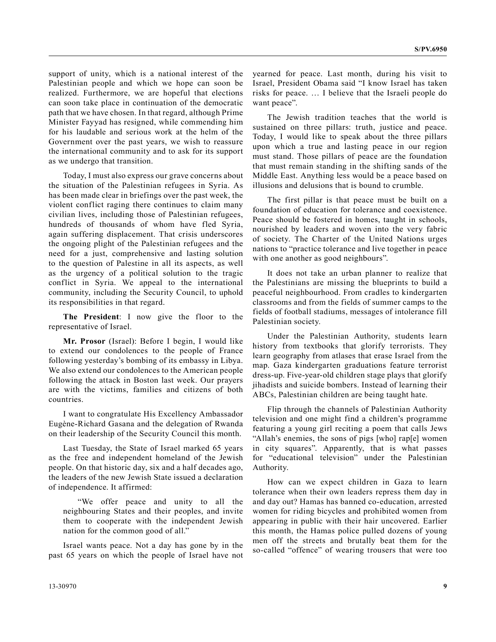support of unity, which is a national interest of the Palestinian people and which we hope can soon be realized. Furthermore, we are hopeful that elections can soon take place in continuation of the democratic path that we have chosen. In that regard, although Prime Minister Fayyad has resigned, while commending him for his laudable and serious work at the helm of the Government over the past years, we wish to reassure the international community and to ask for its support as we undergo that transition.

Today, I must also express our grave concerns about the situation of the Palestinian refugees in Syria. As has been made clear in briefings over the past week, the violent conflict raging there continues to claim many civilian lives, including those of Palestinian refugees, hundreds of thousands of whom have fled Syria, again suffering displacement. That crisis underscores the ongoing plight of the Palestinian refugees and the need for a just, comprehensive and lasting solution to the question of Palestine in all its aspects, as well as the urgency of a political solution to the tragic conflict in Syria. We appeal to the international community, including the Security Council, to uphold its responsibilities in that regard.

**The President**: I now give the floor to the representative of Israel.

**Mr. Prosor** (Israel): Before I begin, I would like to extend our condolences to the people of France following yesterday's bombing of its embassy in Libya. We also extend our condolences to the American people following the attack in Boston last week. Our prayers are with the victims, families and citizens of both countries.

I want to congratulate His Excellency Ambassador Eugène-Richard Gasana and the delegation of Rwanda on their leadership of the Security Council this month.

Last Tuesday, the State of Israel marked 65 years as the free and independent homeland of the Jewish people. On that historic day, six and a half decades ago, the leaders of the new Jewish State issued a declaration of independence. It affirmed:

"We offer peace and unity to all the neighbouring States and their peoples, and invite them to cooperate with the independent Jewish nation for the common good of all."

Israel wants peace. Not a day has gone by in the past 65 years on which the people of Israel have not

The Jewish tradition teaches that the world is sustained on three pillars: truth, justice and peace. Today, I would like to speak about the three pillars upon which a true and lasting peace in our region must stand. Those pillars of peace are the foundation that must remain standing in the shifting sands of the Middle East. Anything less would be a peace based on illusions and delusions that is bound to crumble.

The first pillar is that peace must be built on a foundation of education for tolerance and coexistence. Peace should be fostered in homes, taught in schools, nourished by leaders and woven into the very fabric of society. The Charter of the United Nations urges nations to "practice tolerance and live together in peace with one another as good neighbours".

It does not take an urban planner to realize that the Palestinians are missing the blueprints to build a peaceful neighbourhood. From cradles to kindergarten classrooms and from the fields of summer camps to the fields of football stadiums, messages of intolerance fill Palestinian society.

Under the Palestinian Authority, students learn history from textbooks that glorify terrorists. They learn geography from atlases that erase Israel from the map. Gaza kindergarten graduations feature terrorist dress-up. Five-year-old children stage plays that glorify jihadists and suicide bombers. Instead of learning their ABCs, Palestinian children are being taught hate.

Flip through the channels of Palestinian Authority television and one might find a children's programme featuring a young girl reciting a poem that calls Jews "Allah's enemies, the sons of pigs [who] rap[e] women in city squares". Apparently, that is what passes for "educational television" under the Palestinian Authority.

How can we expect children in Gaza to learn tolerance when their own leaders repress them day in and day out? Hamas has banned co-education, arrested women for riding bicycles and prohibited women from appearing in public with their hair uncovered. Earlier this month, the Hamas police pulled dozens of young men off the streets and brutally beat them for the so-called "offence" of wearing trousers that were too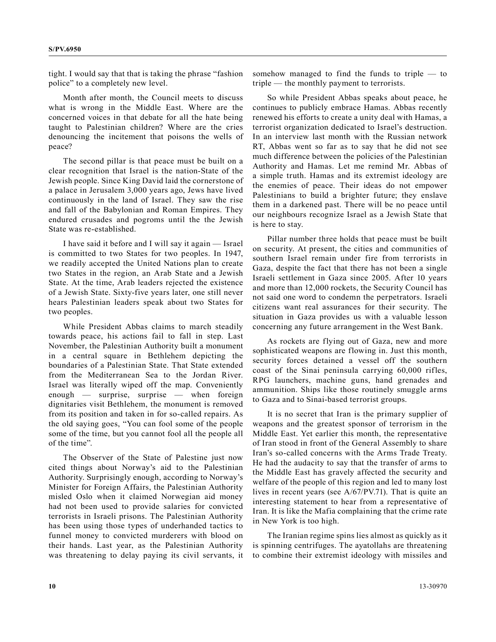tight. I would say that that is taking the phrase "fashion police" to a completely new level.

Month after month, the Council meets to discuss what is wrong in the Middle East. Where are the concerned voices in that debate for all the hate being taught to Palestinian children? Where are the cries denouncing the incitement that poisons the wells of peace?

The second pillar is that peace must be built on a clear recognition that Israel is the nation-State of the Jewish people. Since King David laid the cornerstone of a palace in Jerusalem 3,000 years ago, Jews have lived continuously in the land of Israel. They saw the rise and fall of the Babylonian and Roman Empires. They endured crusades and pogroms until the the Jewish State was re-established.

I have said it before and I will say it again — Israel is committed to two States for two peoples. In 1947, we readily accepted the United Nations plan to create two States in the region, an Arab State and a Jewish State. At the time, Arab leaders rejected the existence of a Jewish State. Sixty-five years later, one still never hears Palestinian leaders speak about two States for two peoples.

While President Abbas claims to march steadily towards peace, his actions fail to fall in step. Last November, the Palestinian Authority built a monument in a central square in Bethlehem depicting the boundaries of a Palestinian State. That State extended from the Mediterranean Sea to the Jordan River. Israel was literally wiped off the map. Conveniently enough — surprise, surprise — when foreign dignitaries visit Bethlehem, the monument is removed from its position and taken in for so-called repairs. As the old saying goes, "You can fool some of the people some of the time, but you cannot fool all the people all of the time".

The Observer of the State of Palestine just now cited things about Norway's aid to the Palestinian Authority. Surprisingly enough, according to Norway's Minister for Foreign Affairs, the Palestinian Authority misled Oslo when it claimed Norwegian aid money had not been used to provide salaries for convicted terrorists in Israeli prisons. The Palestinian Authority has been using those types of underhanded tactics to funnel money to convicted murderers with blood on their hands. Last year, as the Palestinian Authority was threatening to delay paying its civil servants, it somehow managed to find the funds to triple — to triple — the monthly payment to terrorists.

So while President Abbas speaks about peace, he continues to publicly embrace Hamas. Abbas recently renewed his efforts to create a unity deal with Hamas, a terrorist organization dedicated to Israel's destruction. In an interview last month with the Russian network RT, Abbas went so far as to say that he did not see much difference between the policies of the Palestinian Authority and Hamas. Let me remind Mr. Abbas of a simple truth. Hamas and its extremist ideology are the enemies of peace. Their ideas do not empower Palestinians to build a brighter future; they enslave them in a darkened past. There will be no peace until our neighbours recognize Israel as a Jewish State that is here to stay.

Pillar number three holds that peace must be built on security. At present, the cities and communities of southern Israel remain under fire from terrorists in Gaza, despite the fact that there has not been a single Israeli settlement in Gaza since 2005. After 10 years and more than 12,000 rockets, the Security Council has not said one word to condemn the perpetrators. Israeli citizens want real assurances for their security. The situation in Gaza provides us with a valuable lesson concerning any future arrangement in the West Bank.

As rockets are flying out of Gaza, new and more sophisticated weapons are flowing in. Just this month, security forces detained a vessel off the southern coast of the Sinai peninsula carrying 60,000 rifles, RPG launchers, machine guns, hand grenades and ammunition. Ships like those routinely smuggle arms to Gaza and to Sinai-based terrorist groups.

It is no secret that Iran is the primary supplier of weapons and the greatest sponsor of terrorism in the Middle East. Yet earlier this month, the representative of Iran stood in front of the General Assembly to share Iran's so-called concerns with the Arms Trade Treaty. He had the audacity to say that the transfer of arms to the Middle East has gravely affected the security and welfare of the people of this region and led to many lost lives in recent years (see A/67/PV.71). That is quite an interesting statement to hear from a representative of Iran. It is like the Mafia complaining that the crime rate in New York is too high.

The Iranian regime spins lies almost as quickly as it is spinning centrifuges. The ayatollahs are threatening to combine their extremist ideology with missiles and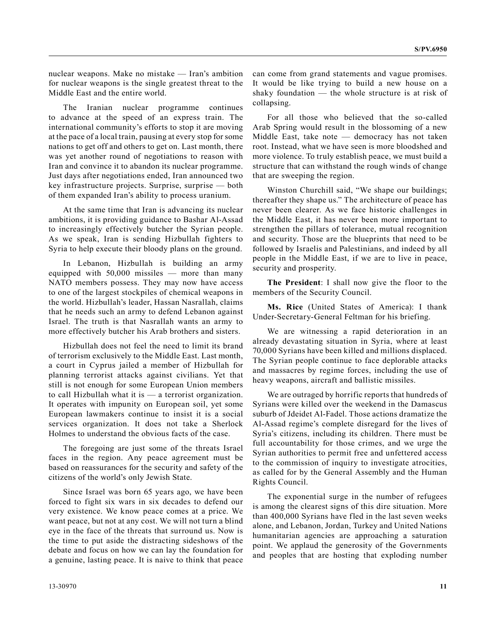nuclear weapons. Make no mistake — Iran's ambition for nuclear weapons is the single greatest threat to the Middle East and the entire world.

The Iranian nuclear programme continues to advance at the speed of an express train. The international community's efforts to stop it are moving at the pace of a local train, pausing at every stop for some nations to get off and others to get on. Last month, there was yet another round of negotiations to reason with Iran and convince it to abandon its nuclear programme. Just days after negotiations ended, Iran announced two key infrastructure projects. Surprise, surprise — both of them expanded Iran's ability to process uranium.

At the same time that Iran is advancing its nuclear ambitions, it is providing guidance to Bashar Al-Assad to increasingly effectively butcher the Syrian people. As we speak, Iran is sending Hizbullah fighters to Syria to help execute their bloody plans on the ground.

In Lebanon, Hizbullah is building an army equipped with 50,000 missiles — more than many NATO members possess. They may now have access to one of the largest stockpiles of chemical weapons in the world. Hizbullah's leader, Hassan Nasrallah, claims that he needs such an army to defend Lebanon against Israel. The truth is that Nasrallah wants an army to more effectively butcher his Arab brothers and sisters.

Hizbullah does not feel the need to limit its brand of terrorism exclusively to the Middle East. Last month, a court in Cyprus jailed a member of Hizbullah for planning terrorist attacks against civilians. Yet that still is not enough for some European Union members to call Hizbullah what it is — a terrorist organization. It operates with impunity on European soil, yet some European lawmakers continue to insist it is a social services organization. It does not take a Sherlock Holmes to understand the obvious facts of the case.

The foregoing are just some of the threats Israel faces in the region. Any peace agreement must be based on reassurances for the security and safety of the citizens of the world's only Jewish State.

Since Israel was born 65 years ago, we have been forced to fight six wars in six decades to defend our very existence. We know peace comes at a price. We want peace, but not at any cost. We will not turn a blind eye in the face of the threats that surround us. Now is the time to put aside the distracting sideshows of the debate and focus on how we can lay the foundation for a genuine, lasting peace. It is naive to think that peace can come from grand statements and vague promises. It would be like trying to build a new house on a shaky foundation — the whole structure is at risk of collapsing.

For all those who believed that the so-called Arab Spring would result in the blossoming of a new Middle East, take note — democracy has not taken root. Instead, what we have seen is more bloodshed and more violence. To truly establish peace, we must build a structure that can withstand the rough winds of change that are sweeping the region.

Winston Churchill said, "We shape our buildings; thereafter they shape us." The architecture of peace has never been clearer. As we face historic challenges in the Middle East, it has never been more important to strengthen the pillars of tolerance, mutual recognition and security. Those are the blueprints that need to be followed by Israelis and Palestinians, and indeed by all people in the Middle East, if we are to live in peace, security and prosperity.

**The President**: I shall now give the floor to the members of the Security Council.

**Ms. Rice** (United States of America): I thank Under-Secretary-General Feltman for his briefing.

We are witnessing a rapid deterioration in an already devastating situation in Syria, where at least 70,000 Syrians have been killed and millions displaced. The Syrian people continue to face deplorable attacks and massacres by regime forces, including the use of heavy weapons, aircraft and ballistic missiles.

We are outraged by horrific reports that hundreds of Syrians were killed over the weekend in the Damascus suburb of Jdeidet Al-Fadel. Those actions dramatize the Al-Assad regime's complete disregard for the lives of Syria's citizens, including its children. There must be full accountability for those crimes, and we urge the Syrian authorities to permit free and unfettered access to the commission of inquiry to investigate atrocities, as called for by the General Assembly and the Human Rights Council.

The exponential surge in the number of refugees is among the clearest signs of this dire situation. More than 400,000 Syrians have fled in the last seven weeks alone, and Lebanon, Jordan, Turkey and United Nations humanitarian agencies are approaching a saturation point. We applaud the generosity of the Governments and peoples that are hosting that exploding number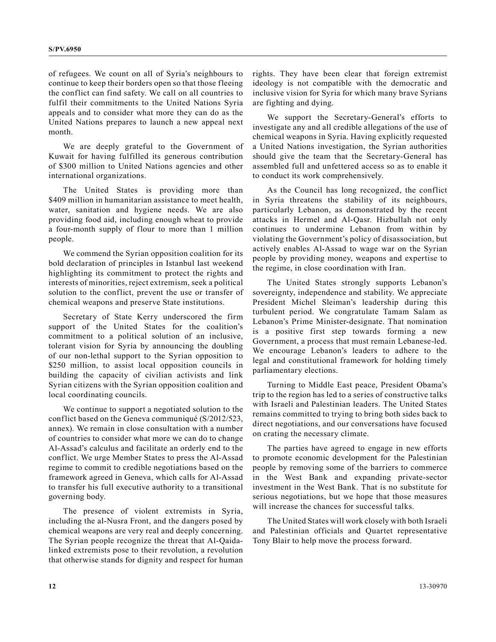of refugees. We count on all of Syria's neighbours to continue to keep their borders open so that those fleeing the conflict can find safety. We call on all countries to fulfil their commitments to the United Nations Syria appeals and to consider what more they can do as the United Nations prepares to launch a new appeal next month.

We are deeply grateful to the Government of Kuwait for having fulfilled its generous contribution of \$300 million to United Nations agencies and other international organizations.

The United States is providing more than \$409 million in humanitarian assistance to meet health, water, sanitation and hygiene needs. We are also providing food aid, including enough wheat to provide a four-month supply of flour to more than 1 million people.

We commend the Syrian opposition coalition for its bold declaration of principles in Istanbul last weekend highlighting its commitment to protect the rights and interests of minorities, reject extremism, seek a political solution to the conflict, prevent the use or transfer of chemical weapons and preserve State institutions.

Secretary of State Kerry underscored the firm support of the United States for the coalition's commitment to a political solution of an inclusive, tolerant vision for Syria by announcing the doubling of our non-lethal support to the Syrian opposition to \$250 million, to assist local opposition councils in building the capacity of civilian activists and link Syrian citizens with the Syrian opposition coalition and local coordinating councils.

We continue to support a negotiated solution to the conflict based on the Geneva communiqué (S/2012/523, annex). We remain in close consultation with a number of countries to consider what more we can do to change Al-Assad's calculus and facilitate an orderly end to the conflict. We urge Member States to press the Al-Assad regime to commit to credible negotiations based on the framework agreed in Geneva, which calls for Al-Assad to transfer his full executive authority to a transitional governing body.

The presence of violent extremists in Syria, including the al-Nusra Front, and the dangers posed by chemical weapons are very real and deeply concerning. The Syrian people recognize the threat that Al-Qaidalinked extremists pose to their revolution, a revolution that otherwise stands for dignity and respect for human rights. They have been clear that foreign extremist ideology is not compatible with the democratic and inclusive vision for Syria for which many brave Syrians are fighting and dying.

We support the Secretary-General's efforts to investigate any and all credible allegations of the use of chemical weapons in Syria. Having explicitly requested a United Nations investigation, the Syrian authorities should give the team that the Secretary-General has assembled full and unfettered access so as to enable it to conduct its work comprehensively.

As the Council has long recognized, the conflict in Syria threatens the stability of its neighbours, particularly Lebanon, as demonstrated by the recent attacks in Hermel and Al-Qasr. Hizbullah not only continues to undermine Lebanon from within by violating the Government's policy of disassociation, but actively enables Al-Assad to wage war on the Syrian people by providing money, weapons and expertise to the regime, in close coordination with Iran.

The United States strongly supports Lebanon's sovereignty, independence and stability. We appreciate President Michel Sleiman's leadership during this turbulent period. We congratulate Tamam Salam as Lebanon's Prime Minister-designate. That nomination is a positive first step towards forming a new Government, a process that must remain Lebanese-led. We encourage Lebanon's leaders to adhere to the legal and constitutional framework for holding timely parliamentary elections.

Turning to Middle East peace, President Obama's trip to the region has led to a series of constructive talks with Israeli and Palestinian leaders. The United States remains committed to trying to bring both sides back to direct negotiations, and our conversations have focused on crating the necessary climate.

The parties have agreed to engage in new efforts to promote economic development for the Palestinian people by removing some of the barriers to commerce in the West Bank and expanding private-sector investment in the West Bank. That is no substitute for serious negotiations, but we hope that those measures will increase the chances for successful talks.

The United States will work closely with both Israeli and Palestinian officials and Quartet representative Tony Blair to help move the process forward.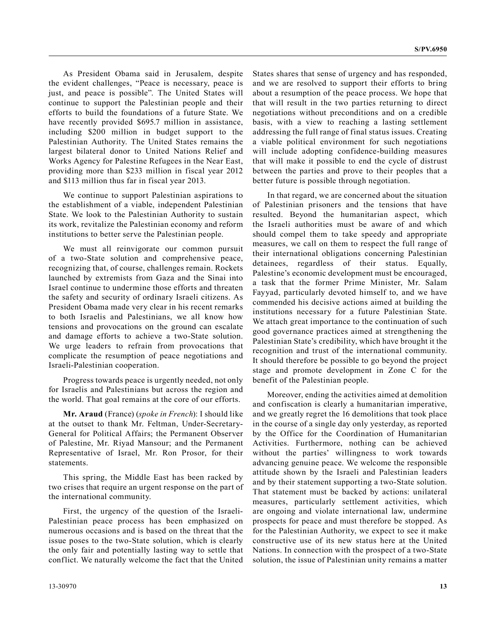As President Obama said in Jerusalem, despite the evident challenges, "Peace is necessary, peace is just, and peace is possible". The United States will continue to support the Palestinian people and their efforts to build the foundations of a future State. We have recently provided \$695.7 million in assistance, including \$200 million in budget support to the Palestinian Authority. The United States remains the largest bilateral donor to United Nations Relief and Works Agency for Palestine Refugees in the Near East, providing more than \$233 million in fiscal year 2012 and \$113 million thus far in fiscal year 2013.

We continue to support Palestinian aspirations to the establishment of a viable, independent Palestinian State. We look to the Palestinian Authority to sustain its work, revitalize the Palestinian economy and reform institutions to better serve the Palestinian people.

We must all reinvigorate our common pursuit of a two-State solution and comprehensive peace, recognizing that, of course, challenges remain. Rockets launched by extremists from Gaza and the Sinai into Israel continue to undermine those efforts and threaten the safety and security of ordinary Israeli citizens. As President Obama made very clear in his recent remarks to both Israelis and Palestinians, we all know how tensions and provocations on the ground can escalate and damage efforts to achieve a two-State solution. We urge leaders to refrain from provocations that complicate the resumption of peace negotiations and Israeli-Palestinian cooperation.

Progress towards peace is urgently needed, not only for Israelis and Palestinians but across the region and the world. That goal remains at the core of our efforts.

**Mr. Araud** (France) (*spoke in French*): I should like at the outset to thank Mr. Feltman, Under-Secretary-General for Political Affairs; the Permanent Observer of Palestine, Mr. Riyad Mansour; and the Permanent Representative of Israel, Mr. Ron Prosor, for their statements.

This spring, the Middle East has been racked by two crises that require an urgent response on the part of the international community.

First, the urgency of the question of the Israeli-Palestinian peace process has been emphasized on numerous occasions and is based on the threat that the issue poses to the two-State solution, which is clearly the only fair and potentially lasting way to settle that conflict. We naturally welcome the fact that the United States shares that sense of urgency and has responded, and we are resolved to support their efforts to bring about a resumption of the peace process. We hope that that will result in the two parties returning to direct negotiations without preconditions and on a credible basis, with a view to reaching a lasting settlement addressing the full range of final status issues. Creating a viable political environment for such negotiations will include adopting confidence-building measures that will make it possible to end the cycle of distrust between the parties and prove to their peoples that a better future is possible through negotiation.

In that regard, we are concerned about the situation of Palestinian prisoners and the tensions that have resulted. Beyond the humanitarian aspect, which the Israeli authorities must be aware of and which should compel them to take speedy and appropriate measures, we call on them to respect the full range of their international obligations concerning Palestinian detainees, regardless of their status. Equally, Palestine's economic development must be encouraged, a task that the former Prime Minister, Mr. Salam Fayyad, particularly devoted himself to, and we have commended his decisive actions aimed at building the institutions necessary for a future Palestinian State. We attach great importance to the continuation of such good governance practices aimed at strengthening the Palestinian State's credibility, which have brought it the recognition and trust of the international community. It should therefore be possible to go beyond the project stage and promote development in Zone C for the benefit of the Palestinian people.

Moreover, ending the activities aimed at demolition and confiscation is clearly a humanitarian imperative, and we greatly regret the 16 demolitions that took place in the course of a single day only yesterday, as reported by the Office for the Coordination of Humanitarian Activities. Furthermore, nothing can be achieved without the parties' willingness to work towards advancing genuine peace. We welcome the responsible attitude shown by the Israeli and Palestinian leaders and by their statement supporting a two-State solution. That statement must be backed by actions: unilateral measures, particularly settlement activities, which are ongoing and violate international law, undermine prospects for peace and must therefore be stopped. As for the Palestinian Authority, we expect to see it make constructive use of its new status here at the United Nations. In connection with the prospect of a two-State solution, the issue of Palestinian unity remains a matter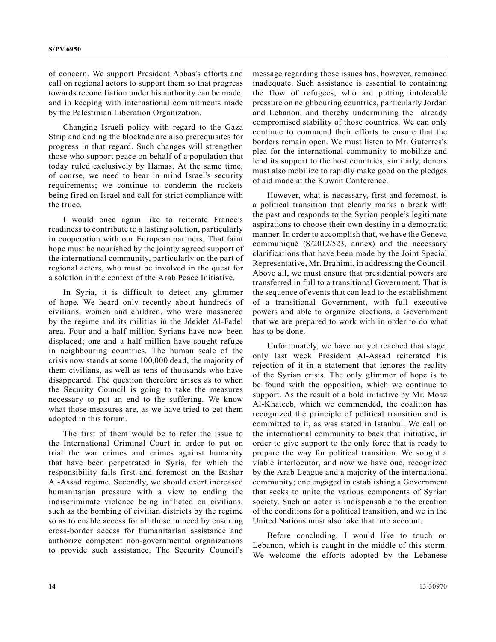of concern. We support President Abbas's efforts and call on regional actors to support them so that progress towards reconciliation under his authority can be made, and in keeping with international commitments made by the Palestinian Liberation Organization.

Changing Israeli policy with regard to the Gaza Strip and ending the blockade are also prerequisites for progress in that regard. Such changes will strengthen those who support peace on behalf of a population that today ruled exclusively by Hamas. At the same time, of course, we need to bear in mind Israel's security requirements; we continue to condemn the rockets being fired on Israel and call for strict compliance with the truce.

I would once again like to reiterate France's readiness to contribute to a lasting solution, particularly in cooperation with our European partners. That faint hope must be nourished by the jointly agreed support of the international community, particularly on the part of regional actors, who must be involved in the quest for a solution in the context of the Arab Peace Initiative.

In Syria, it is difficult to detect any glimmer of hope. We heard only recently about hundreds of civilians, women and children, who were massacred by the regime and its militias in the Jdeidet Al-Fadel area. Four and a half million Syrians have now been displaced; one and a half million have sought refuge in neighbouring countries. The human scale of the crisis now stands at some 100,000 dead, the majority of them civilians, as well as tens of thousands who have disappeared. The question therefore arises as to when the Security Council is going to take the measures necessary to put an end to the suffering. We know what those measures are, as we have tried to get them adopted in this forum.

The first of them would be to refer the issue to the International Criminal Court in order to put on trial the war crimes and crimes against humanity that have been perpetrated in Syria, for which the responsibility falls first and foremost on the Bashar Al-Assad regime. Secondly, we should exert increased humanitarian pressure with a view to ending the indiscriminate violence being inflicted on civilians, such as the bombing of civilian districts by the regime so as to enable access for all those in need by ensuring cross-border access for humanitarian assistance and authorize competent non-governmental organizations to provide such assistance. The Security Council's

message regarding those issues has, however, remained inadequate. Such assistance is essential to containing the flow of refugees, who are putting intolerable pressure on neighbouring countries, particularly Jordan and Lebanon, and thereby undermining the already compromised stability of those countries. We can only continue to commend their efforts to ensure that the borders remain open. We must listen to Mr. Guterres's plea for the international community to mobilize and lend its support to the host countries; similarly, donors must also mobilize to rapidly make good on the pledges of aid made at the Kuwait Conference.

However, what is necessary, first and foremost, is a political transition that clearly marks a break with the past and responds to the Syrian people's legitimate aspirations to choose their own destiny in a democratic manner. In order to accomplish that, we have the Geneva communiqué (S/2012/523, annex) and the necessary clarifications that have been made by the Joint Special Representative, Mr. Brahimi, in addressing the Council. Above all, we must ensure that presidential powers are transferred in full to a transitional Government. That is the sequence of events that can lead to the establishment of a transitional Government, with full executive powers and able to organize elections, a Government that we are prepared to work with in order to do what has to be done.

Unfortunately, we have not yet reached that stage; only last week President Al-Assad reiterated his rejection of it in a statement that ignores the reality of the Syrian crisis. The only glimmer of hope is to be found with the opposition, which we continue to support. As the result of a bold initiative by Mr. Moaz Al-Khateeb, which we commended, the coalition has recognized the principle of political transition and is committed to it, as was stated in Istanbul. We call on the international community to back that initiative, in order to give support to the only force that is ready to prepare the way for political transition. We sought a viable interlocutor, and now we have one, recognized by the Arab League and a majority of the international community; one engaged in establishing a Government that seeks to unite the various components of Syrian society. Such an actor is indispensable to the creation of the conditions for a political transition, and we in the United Nations must also take that into account.

Before concluding, I would like to touch on Lebanon, which is caught in the middle of this storm. We welcome the efforts adopted by the Lebanese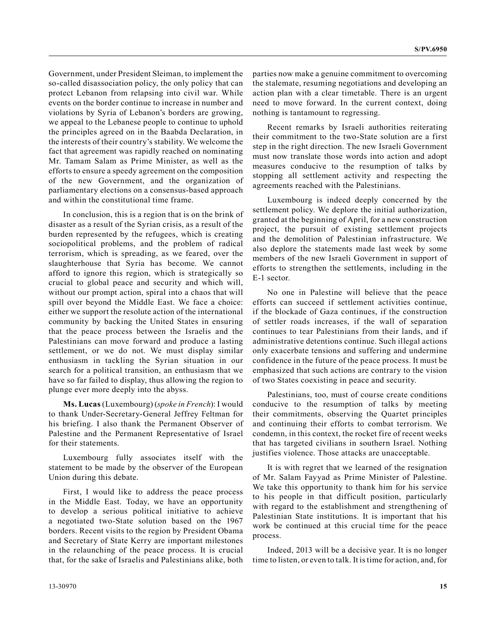Government, under President Sleiman, to implement the so-called disassociation policy, the only policy that can protect Lebanon from relapsing into civil war. While events on the border continue to increase in number and violations by Syria of Lebanon's borders are growing, we appeal to the Lebanese people to continue to uphold the principles agreed on in the Baabda Declaration, in the interests of their country's stability. We welcome the fact that agreement was rapidly reached on nominating Mr. Tamam Salam as Prime Minister, as well as the efforts to ensure a speedy agreement on the composition of the new Government, and the organization of parliamentary elections on a consensus-based approach and within the constitutional time frame.

In conclusion, this is a region that is on the brink of disaster as a result of the Syrian crisis, as a result of the burden represented by the refugees, which is creating sociopolitical problems, and the problem of radical terrorism, which is spreading, as we feared, over the slaughterhouse that Syria has become. We cannot afford to ignore this region, which is strategically so crucial to global peace and security and which will, without our prompt action, spiral into a chaos that will spill over beyond the Middle East. We face a choice: either we support the resolute action of the international community by backing the United States in ensuring that the peace process between the Israelis and the Palestinians can move forward and produce a lasting settlement, or we do not. We must display similar enthusiasm in tackling the Syrian situation in our search for a political transition, an enthusiasm that we have so far failed to display, thus allowing the region to plunge ever more deeply into the abyss.

**Ms. Lucas** (Luxembourg) (*spoke in French*): I would to thank Under-Secretary-General Jeffrey Feltman for his briefing. I also thank the Permanent Observer of Palestine and the Permanent Representative of Israel for their statements.

Luxembourg fully associates itself with the statement to be made by the observer of the European Union during this debate.

First, I would like to address the peace process in the Middle East. Today, we have an opportunity to develop a serious political initiative to achieve a negotiated two-State solution based on the 1967 borders. Recent visits to the region by President Obama and Secretary of State Kerry are important milestones in the relaunching of the peace process. It is crucial that, for the sake of Israelis and Palestinians alike, both

parties now make a genuine commitment to overcoming the stalemate, resuming negotiations and developing an action plan with a clear timetable. There is an urgent need to move forward. In the current context, doing nothing is tantamount to regressing.

Recent remarks by Israeli authorities reiterating their commitment to the two-State solution are a first step in the right direction. The new Israeli Government must now translate those words into action and adopt measures conducive to the resumption of talks by stopping all settlement activity and respecting the agreements reached with the Palestinians.

Luxembourg is indeed deeply concerned by the settlement policy. We deplore the initial authorization, granted at the beginning of April, for a new construction project, the pursuit of existing settlement projects and the demolition of Palestinian infrastructure. We also deplore the statements made last week by some members of the new Israeli Government in support of efforts to strengthen the settlements, including in the E-1 sector.

No one in Palestine will believe that the peace efforts can succeed if settlement activities continue, if the blockade of Gaza continues, if the construction of settler roads increases, if the wall of separation continues to tear Palestinians from their lands, and if administrative detentions continue. Such illegal actions only exacerbate tensions and suffering and undermine confidence in the future of the peace process. It must be emphasized that such actions are contrary to the vision of two States coexisting in peace and security.

Palestinians, too, must of course create conditions conducive to the resumption of talks by meeting their commitments, observing the Quartet principles and continuing their efforts to combat terrorism. We condemn, in this context, the rocket fire of recent weeks that has targeted civilians in southern Israel. Nothing justifies violence. Those attacks are unacceptable.

It is with regret that we learned of the resignation of Mr. Salam Fayyad as Prime Minister of Palestine. We take this opportunity to thank him for his service to his people in that difficult position, particularly with regard to the establishment and strengthening of Palestinian State institutions. It is important that his work be continued at this crucial time for the peace process.

Indeed, 2013 will be a decisive year. It is no longer time to listen, or even to talk. It is time for action, and, for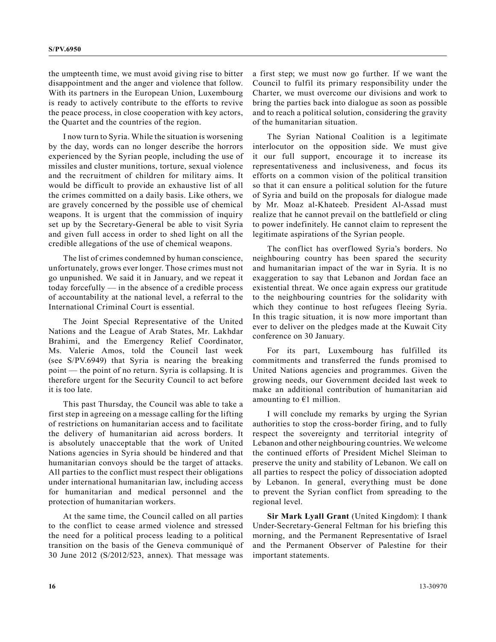the umpteenth time, we must avoid giving rise to bitter disappointment and the anger and violence that follow. With its partners in the European Union, Luxembourg is ready to actively contribute to the efforts to revive the peace process, in close cooperation with key actors, the Quartet and the countries of the region.

I now turn to Syria. While the situation is worsening by the day, words can no longer describe the horrors experienced by the Syrian people, including the use of missiles and cluster munitions, torture, sexual violence and the recruitment of children for military aims. It would be difficult to provide an exhaustive list of all the crimes committed on a daily basis. Like others, we are gravely concerned by the possible use of chemical weapons. It is urgent that the commission of inquiry set up by the Secretary-General be able to visit Syria and given full access in order to shed light on all the credible allegations of the use of chemical weapons.

The list of crimes condemned by human conscience, unfortunately, grows ever longer. Those crimes must not go unpunished. We said it in January, and we repeat it today forcefully — in the absence of a credible process of accountability at the national level, a referral to the International Criminal Court is essential.

The Joint Special Representative of the United Nations and the League of Arab States, Mr. Lakhdar Brahimi, and the Emergency Relief Coordinator, Ms. Valerie Amos, told the Council last week (see S/PV.6949) that Syria is nearing the breaking point — the point of no return. Syria is collapsing. It is therefore urgent for the Security Council to act before it is too late.

This past Thursday, the Council was able to take a first step in agreeing on a message calling for the lifting of restrictions on humanitarian access and to facilitate the delivery of humanitarian aid across borders. It is absolutely unacceptable that the work of United Nations agencies in Syria should be hindered and that humanitarian convoys should be the target of attacks. All parties to the conflict must respect their obligations under international humanitarian law, including access for humanitarian and medical personnel and the protection of humanitarian workers.

At the same time, the Council called on all parties to the conflict to cease armed violence and stressed the need for a political process leading to a political transition on the basis of the Geneva communiqué of 30 June 2012 (S/2012/523, annex). That message was a first step; we must now go further. If we want the Council to fulfil its primary responsibility under the Charter, we must overcome our divisions and work to bring the parties back into dialogue as soon as possible and to reach a political solution, considering the gravity of the humanitarian situation.

The Syrian National Coalition is a legitimate interlocutor on the opposition side. We must give it our full support, encourage it to increase its representativeness and inclusiveness, and focus its efforts on a common vision of the political transition so that it can ensure a political solution for the future of Syria and build on the proposals for dialogue made by Mr. Moaz al-Khateeb. President Al-Assad must realize that he cannot prevail on the battlefield or cling to power indefinitely. He cannot claim to represent the legitimate aspirations of the Syrian people.

The conflict has overflowed Syria's borders. No neighbouring country has been spared the security and humanitarian impact of the war in Syria. It is no exaggeration to say that Lebanon and Jordan face an existential threat. We once again express our gratitude to the neighbouring countries for the solidarity with which they continue to host refugees fleeing Syria. In this tragic situation, it is now more important than ever to deliver on the pledges made at the Kuwait City conference on 30 January.

For its part, Luxembourg has fulfilled its commitments and transferred the funds promised to United Nations agencies and programmes. Given the growing needs, our Government decided last week to make an additional contribution of humanitarian aid amounting to  $E1$  million.

I will conclude my remarks by urging the Syrian authorities to stop the cross-border firing, and to fully respect the sovereignty and territorial integrity of Lebanon and other neighbouring countries. We welcome the continued efforts of President Michel Sleiman to preserve the unity and stability of Lebanon. We call on all parties to respect the policy of dissociation adopted by Lebanon. In general, everything must be done to prevent the Syrian conflict from spreading to the regional level.

**Sir Mark Lyall Grant** (United Kingdom): I thank Under-Secretary-General Feltman for his briefing this morning, and the Permanent Representative of Israel and the Permanent Observer of Palestine for their important statements.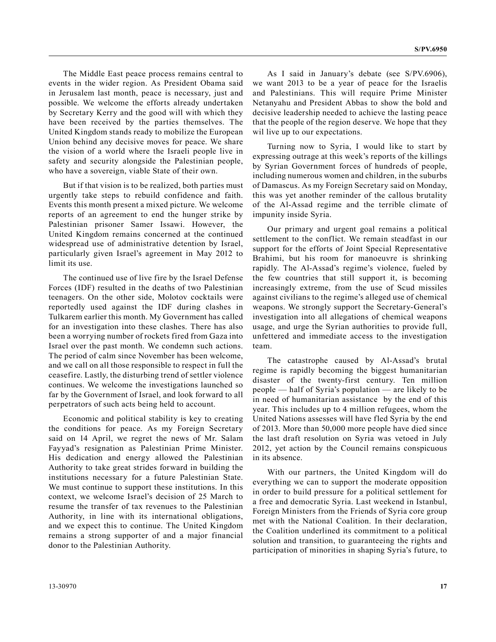The Middle East peace process remains central to events in the wider region. As President Obama said in Jerusalem last month, peace is necessary, just and possible. We welcome the efforts already undertaken by Secretary Kerry and the good will with which they have been received by the parties themselves. The United Kingdom stands ready to mobilize the European Union behind any decisive moves for peace. We share the vision of a world where the Israeli people live in safety and security alongside the Palestinian people, who have a sovereign, viable State of their own.

But if that vision is to be realized, both parties must urgently take steps to rebuild confidence and faith. Events this month present a mixed picture. We welcome reports of an agreement to end the hunger strike by Palestinian prisoner Samer Issawi. However, the United Kingdom remains concerned at the continued widespread use of administrative detention by Israel, particularly given Israel's agreement in May 2012 to limit its use.

The continued use of live fire by the Israel Defense Forces (IDF) resulted in the deaths of two Palestinian teenagers. On the other side, Molotov cocktails were reportedly used against the IDF during clashes in Tulkarem earlier this month. My Government has called for an investigation into these clashes. There has also been a worrying number of rockets fired from Gaza into Israel over the past month. We condemn such actions. The period of calm since November has been welcome, and we call on all those responsible to respect in full the ceasefire. Lastly, the disturbing trend of settler violence continues. We welcome the investigations launched so far by the Government of Israel, and look forward to all perpetrators of such acts being held to account.

Economic and political stability is key to creating the conditions for peace. As my Foreign Secretary said on 14 April, we regret the news of Mr. Salam Fayyad's resignation as Palestinian Prime Minister. His dedication and energy allowed the Palestinian Authority to take great strides forward in building the institutions necessary for a future Palestinian State. We must continue to support these institutions. In this context, we welcome Israel's decision of 25 March to resume the transfer of tax revenues to the Palestinian Authority, in line with its international obligations, and we expect this to continue. The United Kingdom remains a strong supporter of and a major financial donor to the Palestinian Authority.

As I said in January's debate (see S/PV.6906), we want 2013 to be a year of peace for the Israelis and Palestinians. This will require Prime Minister Netanyahu and President Abbas to show the bold and decisive leadership needed to achieve the lasting peace that the people of the region deserve. We hope that they wil live up to our expectations.

Turning now to Syria, I would like to start by expressing outrage at this week's reports of the killings by Syrian Government forces of hundreds of people, including numerous women and children, in the suburbs of Damascus. As my Foreign Secretary said on Monday, this was yet another reminder of the callous brutality of the Al-Assad regime and the terrible climate of impunity inside Syria.

Our primary and urgent goal remains a political settlement to the conflict. We remain steadfast in our support for the efforts of Joint Special Representative Brahimi, but his room for manoeuvre is shrinking rapidly. The Al-Assad's regime's violence, fueled by the few countries that still support it, is becoming increasingly extreme, from the use of Scud missiles against civilians to the regime's alleged use of chemical weapons. We strongly support the Secretary-General's investigation into all allegations of chemical weapons usage, and urge the Syrian authorities to provide full, unfettered and immediate access to the investigation team.

The catastrophe caused by Al-Assad's brutal regime is rapidly becoming the biggest humanitarian disaster of the twenty-first century. Ten million people — half of Syria's population — are likely to be in need of humanitarian assistance by the end of this year. This includes up to 4 million refugees, whom the United Nations assesses will have fled Syria by the end of 2013. More than 50,000 more people have died since the last draft resolution on Syria was vetoed in July 2012, yet action by the Council remains conspicuous in its absence.

With our partners, the United Kingdom will do everything we can to support the moderate opposition in order to build pressure for a political settlement for a free and democratic Syria. Last weekend in Istanbul, Foreign Ministers from the Friends of Syria core group met with the National Coalition. In their declaration, the Coalition underlined its commitment to a political solution and transition, to guaranteeing the rights and participation of minorities in shaping Syria's future, to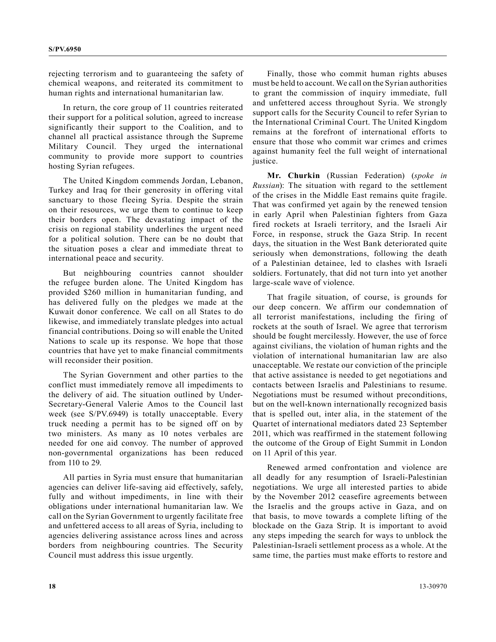rejecting terrorism and to guaranteeing the safety of chemical weapons, and reiterated its commitment to human rights and international humanitarian law.

In return, the core group of 11 countries reiterated their support for a political solution, agreed to increase significantly their support to the Coalition, and to channel all practical assistance through the Supreme Military Council. They urged the international community to provide more support to countries hosting Syrian refugees.

The United Kingdom commends Jordan, Lebanon, Turkey and Iraq for their generosity in offering vital sanctuary to those fleeing Syria. Despite the strain on their resources, we urge them to continue to keep their borders open. The devastating impact of the crisis on regional stability underlines the urgent need for a political solution. There can be no doubt that the situation poses a clear and immediate threat to international peace and security.

But neighbouring countries cannot shoulder the refugee burden alone. The United Kingdom has provided \$260 million in humanitarian funding, and has delivered fully on the pledges we made at the Kuwait donor conference. We call on all States to do likewise, and immediately translate pledges into actual financial contributions. Doing so will enable the United Nations to scale up its response. We hope that those countries that have yet to make financial commitments will reconsider their position.

The Syrian Government and other parties to the conflict must immediately remove all impediments to the delivery of aid. The situation outlined by Under-Secretary-General Valerie Amos to the Council last week (see S/PV.6949) is totally unacceptable. Every truck needing a permit has to be signed off on by two ministers. As many as 10 notes verbales are needed for one aid convoy. The number of approved non-governmental organizations has been reduced from 110 to 29.

All parties in Syria must ensure that humanitarian agencies can deliver life-saving aid effectively, safely, fully and without impediments, in line with their obligations under international humanitarian law. We call on the Syrian Government to urgently facilitate free and unfettered access to all areas of Syria, including to agencies delivering assistance across lines and across borders from neighbouring countries. The Security Council must address this issue urgently.

Finally, those who commit human rights abuses must be held to account. We call on the Syrian authorities to grant the commission of inquiry immediate, full and unfettered access throughout Syria. We strongly support calls for the Security Council to refer Syrian to the International Criminal Court. The United Kingdom remains at the forefront of international efforts to ensure that those who commit war crimes and crimes against humanity feel the full weight of international justice.

**Mr. Churkin** (Russian Federation) (*spoke in Russian*): The situation with regard to the settlement of the crises in the Middle East remains quite fragile. That was confirmed yet again by the renewed tension in early April when Palestinian fighters from Gaza fired rockets at Israeli territory, and the Israeli Air Force, in response, struck the Gaza Strip. In recent days, the situation in the West Bank deteriorated quite seriously when demonstrations, following the death of a Palestinian detainee, led to clashes with Israeli soldiers. Fortunately, that did not turn into yet another large-scale wave of violence.

That fragile situation, of course, is grounds for our deep concern. We affirm our condemnation of all terrorist manifestations, including the firing of rockets at the south of Israel. We agree that terrorism should be fought mercilessly. However, the use of force against civilians, the violation of human rights and the violation of international humanitarian law are also unacceptable. We restate our conviction of the principle that active assistance is needed to get negotiations and contacts between Israelis and Palestinians to resume. Negotiations must be resumed without preconditions, but on the well-known internationally recognized basis that is spelled out, inter alia, in the statement of the Quartet of international mediators dated 23 September 2011, which was reaffirmed in the statement following the outcome of the Group of Eight Summit in London on 11 April of this year.

Renewed armed confrontation and violence are all deadly for any resumption of Israeli-Palestinian negotiations. We urge all interested parties to abide by the November 2012 ceasefire agreements between the Israelis and the groups active in Gaza, and on that basis, to move towards a complete lifting of the blockade on the Gaza Strip. It is important to avoid any steps impeding the search for ways to unblock the Palestinian-Israeli settlement process as a whole. At the same time, the parties must make efforts to restore and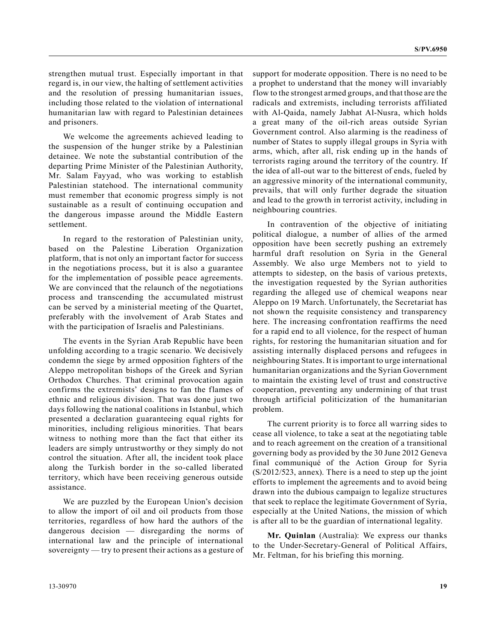strengthen mutual trust. Especially important in that regard is, in our view, the halting of settlement activities and the resolution of pressing humanitarian issues, including those related to the violation of international humanitarian law with regard to Palestinian detainees and prisoners.

We welcome the agreements achieved leading to the suspension of the hunger strike by a Palestinian detainee. We note the substantial contribution of the departing Prime Minister of the Palestinian Authority, Mr. Salam Fayyad, who was working to establish Palestinian statehood. The international community must remember that economic progress simply is not sustainable as a result of continuing occupation and the dangerous impasse around the Middle Eastern settlement.

In regard to the restoration of Palestinian unity, based on the Palestine Liberation Organization platform, that is not only an important factor for success in the negotiations process, but it is also a guarantee for the implementation of possible peace agreements. We are convinced that the relaunch of the negotiations process and transcending the accumulated mistrust can be served by a ministerial meeting of the Quartet, preferably with the involvement of Arab States and with the participation of Israelis and Palestinians.

The events in the Syrian Arab Republic have been unfolding according to a tragic scenario. We decisively condemn the siege by armed opposition fighters of the Aleppo metropolitan bishops of the Greek and Syrian Orthodox Churches. That criminal provocation again confirms the extremists' designs to fan the flames of ethnic and religious division. That was done just two days following the national coalitions in Istanbul, which presented a declaration guaranteeing equal rights for minorities, including religious minorities. That bears witness to nothing more than the fact that either its leaders are simply untrustworthy or they simply do not control the situation. After all, the incident took place along the Turkish border in the so-called liberated territory, which have been receiving generous outside assistance.

We are puzzled by the European Union's decision to allow the import of oil and oil products from those territories, regardless of how hard the authors of the dangerous decision — disregarding the norms of international law and the principle of international sovereignty — try to present their actions as a gesture of support for moderate opposition. There is no need to be a prophet to understand that the money will invariably flow to the strongest armed groups, and that those are the radicals and extremists, including terrorists affiliated with Al-Qaida, namely Jabhat Al-Nusra, which holds a great many of the oil-rich areas outside Syrian Government control. Also alarming is the readiness of number of States to supply illegal groups in Syria with arms, which, after all, risk ending up in the hands of terrorists raging around the territory of the country. If the idea of all-out war to the bitterest of ends, fueled by an aggressive minority of the international community, prevails, that will only further degrade the situation and lead to the growth in terrorist activity, including in neighbouring countries.

In contravention of the objective of initiating political dialogue, a number of allies of the armed opposition have been secretly pushing an extremely harmful draft resolution on Syria in the General Assembly. We also urge Members not to yield to attempts to sidestep, on the basis of various pretexts, the investigation requested by the Syrian authorities regarding the alleged use of chemical weapons near Aleppo on 19 March. Unfortunately, the Secretariat has not shown the requisite consistency and transparency here. The increasing confrontation reaffirms the need for a rapid end to all violence, for the respect of human rights, for restoring the humanitarian situation and for assisting internally displaced persons and refugees in neighbouring States. It is important to urge international humanitarian organizations and the Syrian Government to maintain the existing level of trust and constructive cooperation, preventing any undermining of that trust through artificial politicization of the humanitarian problem.

The current priority is to force all warring sides to cease all violence, to take a seat at the negotiating table and to reach agreement on the creation of a transitional governing body as provided by the 30 June 2012 Geneva final communiqué of the Action Group for Syria (S/2012/523, annex). There is a need to step up the joint efforts to implement the agreements and to avoid being drawn into the dubious campaign to legalize structures that seek to replace the legitimate Government of Syria, especially at the United Nations, the mission of which is after all to be the guardian of international legality.

**Mr. Quinlan** (Australia): We express our thanks to the Under-Secretary-General of Political Affairs, Mr. Feltman, for his briefing this morning.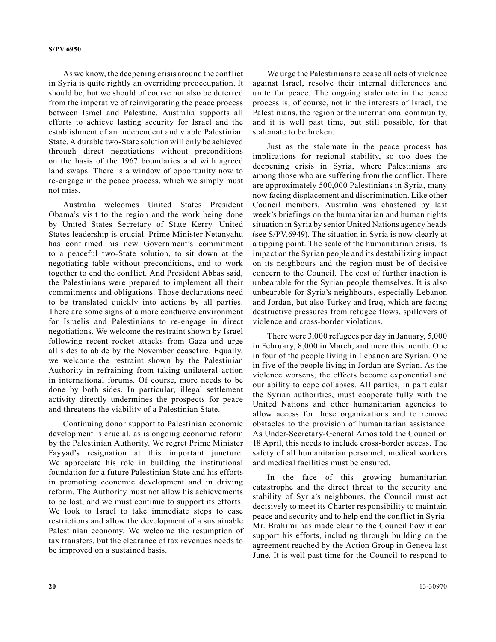As we know, the deepening crisis around the conflict in Syria is quite rightly an overriding preoccupation. It should be, but we should of course not also be deterred from the imperative of reinvigorating the peace process between Israel and Palestine. Australia supports all efforts to achieve lasting security for Israel and the establishment of an independent and viable Palestinian State. A durable two-State solution will only be achieved through direct negotiations without preconditions on the basis of the 1967 boundaries and with agreed land swaps. There is a window of opportunity now to re-engage in the peace process, which we simply must not miss.

Australia welcomes United States President Obama's visit to the region and the work being done by United States Secretary of State Kerry. United States leadership is crucial. Prime Minister Netanyahu has confirmed his new Government's commitment to a peaceful two-State solution, to sit down at the negotiating table without preconditions, and to work together to end the conflict. And President Abbas said, the Palestinians were prepared to implement all their commitments and obligations. Those declarations need to be translated quickly into actions by all parties. There are some signs of a more conducive environment for Israelis and Palestinians to re-engage in direct negotiations. We welcome the restraint shown by Israel following recent rocket attacks from Gaza and urge all sides to abide by the November ceasefire. Equally, we welcome the restraint shown by the Palestinian Authority in refraining from taking unilateral action in international forums. Of course, more needs to be done by both sides. In particular, illegal settlement activity directly undermines the prospects for peace and threatens the viability of a Palestinian State.

Continuing donor support to Palestinian economic development is crucial, as is ongoing economic reform by the Palestinian Authority. We regret Prime Minister Fayyad's resignation at this important juncture. We appreciate his role in building the institutional foundation for a future Palestinian State and his efforts in promoting economic development and in driving reform. The Authority must not allow his achievements to be lost, and we must continue to support its efforts. We look to Israel to take immediate steps to ease restrictions and allow the development of a sustainable Palestinian economy. We welcome the resumption of tax transfers, but the clearance of tax revenues needs to be improved on a sustained basis.

We urge the Palestinians to cease all acts of violence against Israel, resolve their internal differences and unite for peace. The ongoing stalemate in the peace process is, of course, not in the interests of Israel, the Palestinians, the region or the international community, and it is well past time, but still possible, for that stalemate to be broken.

Just as the stalemate in the peace process has implications for regional stability, so too does the deepening crisis in Syria, where Palestinians are among those who are suffering from the conflict. There are approximately 500,000 Palestinians in Syria, many now facing displacement and discrimination. Like other Council members, Australia was chastened by last week's briefings on the humanitarian and human rights situation in Syria by senior United Nations agency heads (see S/PV.6949). The situation in Syria is now clearly at a tipping point. The scale of the humanitarian crisis, its impact on the Syrian people and its destabilizing impact on its neighbours and the region must be of decisive concern to the Council. The cost of further inaction is unbearable for the Syrian people themselves. It is also unbearable for Syria's neighbours, especially Lebanon and Jordan, but also Turkey and Iraq, which are facing destructive pressures from refugee flows, spillovers of violence and cross-border violations.

There were 3,000 refugees per day in January, 5,000 in February, 8,000 in March, and more this month. One in four of the people living in Lebanon are Syrian. One in five of the people living in Jordan are Syrian. As the violence worsens, the effects become exponential and our ability to cope collapses. All parties, in particular the Syrian authorities, must cooperate fully with the United Nations and other humanitarian agencies to allow access for these organizations and to remove obstacles to the provision of humanitarian assistance. As Under-Secretary-General Amos told the Council on 18 April, this needs to include cross-border access. The safety of all humanitarian personnel, medical workers and medical facilities must be ensured.

In the face of this growing humanitarian catastrophe and the direct threat to the security and stability of Syria's neighbours, the Council must act decisively to meet its Charter responsibility to maintain peace and security and to help end the conflict in Syria. Mr. Brahimi has made clear to the Council how it can support his efforts, including through building on the agreement reached by the Action Group in Geneva last June. It is well past time for the Council to respond to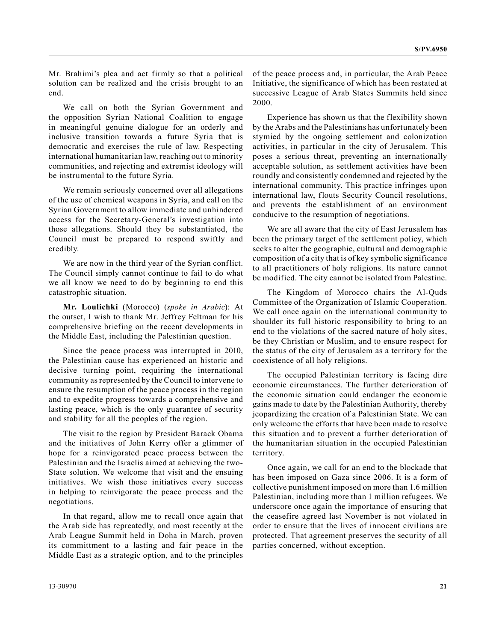Mr. Brahimi's plea and act firmly so that a political solution can be realized and the crisis brought to an end.

We call on both the Syrian Government and the opposition Syrian National Coalition to engage in meaningful genuine dialogue for an orderly and inclusive transition towards a future Syria that is democratic and exercises the rule of law. Respecting international humanitarian law, reaching out to minority communities, and rejecting and extremist ideology will be instrumental to the future Syria.

We remain seriously concerned over all allegations of the use of chemical weapons in Syria, and call on the Syrian Government to allow immediate and unhindered access for the Secretary-General's investigation into those allegations. Should they be substantiated, the Council must be prepared to respond swiftly and credibly.

We are now in the third year of the Syrian conflict. The Council simply cannot continue to fail to do what we all know we need to do by beginning to end this catastrophic situation.

**Mr. Loulichki** (Morocco) (*spoke in Arabic*): At the outset, I wish to thank Mr. Jeffrey Feltman for his comprehensive briefing on the recent developments in the Middle East, including the Palestinian question.

Since the peace process was interrupted in 2010, the Palestinian cause has experienced an historic and decisive turning point, requiring the international community as represented by the Council to intervene to ensure the resumption of the peace process in the region and to expedite progress towards a comprehensive and lasting peace, which is the only guarantee of security and stability for all the peoples of the region.

The visit to the region by President Barack Obama and the initiatives of John Kerry offer a glimmer of hope for a reinvigorated peace process between the Palestinian and the Israelis aimed at achieving the two-State solution. We welcome that visit and the ensuing initiatives. We wish those initiatives every success in helping to reinvigorate the peace process and the negotiations.

In that regard, allow me to recall once again that the Arab side has repreatedly, and most recently at the Arab League Summit held in Doha in March, proven its committment to a lasting and fair peace in the Middle East as a strategic option, and to the principles of the peace process and, in particular, the Arab Peace Initiative, the significance of which has been restated at successive League of Arab States Summits held since 2000.

Experience has shown us that the flexibility shown by the Arabs and the Palestinians has unfortunately been stymied by the ongoing settlement and colonization activities, in particular in the city of Jerusalem. This poses a serious threat, preventing an internationally acceptable solution, as settlement activities have been roundly and consistently condemned and rejected by the international community. This practice infringes upon international law, flouts Security Council resolutions, and prevents the establishment of an environment conducive to the resumption of negotiations.

We are all aware that the city of East Jerusalem has been the primary target of the settlement policy, which seeks to alter the geographic, cultural and demographic composition of a city that is of key symbolic significance to all practitioners of holy religions. Its nature cannot be modified. The city cannot be isolated from Palestine.

The Kingdom of Morocco chairs the Al-Quds Committee of the Organization of Islamic Cooperation. We call once again on the international community to shoulder its full historic responsibility to bring to an end to the violations of the sacred nature of holy sites, be they Christian or Muslim, and to ensure respect for the status of the city of Jerusalem as a territory for the coexistence of all holy religions.

The occupied Palestinian territory is facing dire economic circumstances. The further deterioration of the economic situation could endanger the economic gains made to date by the Palestinian Authority, thereby jeopardizing the creation of a Palestinian State. We can only welcome the efforts that have been made to resolve this situation and to prevent a further deterioration of the humanitarian situation in the occupied Palestinian territory.

Once again, we call for an end to the blockade that has been imposed on Gaza since 2006. It is a form of collective punishment imposed on more than 1.6 million Palestinian, including more than 1 million refugees. We underscore once again the importance of ensuring that the ceasefire agreed last November is not violated in order to ensure that the lives of innocent civilians are protected. That agreement preserves the security of all parties concerned, without exception.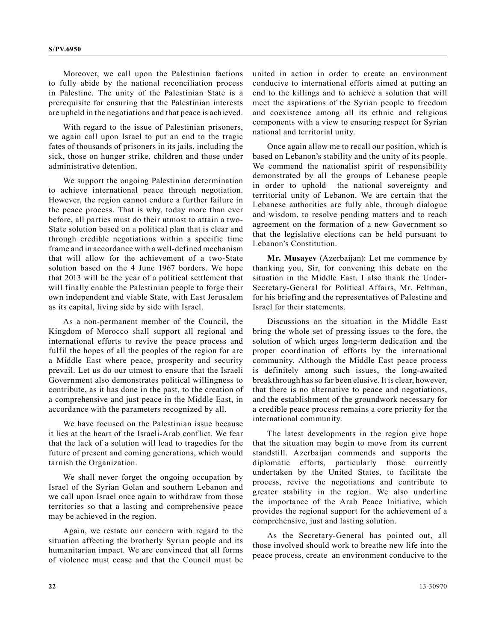Moreover, we call upon the Palestinian factions to fully abide by the national reconciliation process in Palestine. The unity of the Palestinian State is a prerequisite for ensuring that the Palestinian interests are upheld in the negotiations and that peace is achieved.

With regard to the issue of Palestinian prisoners, we again call upon Israel to put an end to the tragic fates of thousands of prisoners in its jails, including the sick, those on hunger strike, children and those under administrative detention.

We support the ongoing Palestinian determination to achieve international peace through negotiation. However, the region cannot endure a further failure in the peace process. That is why, today more than ever before, all parties must do their utmost to attain a two-State solution based on a political plan that is clear and through credible negotiations within a specific time frame and in accordance with a well-defined mechanism that will allow for the achievement of a two-State solution based on the 4 June 1967 borders. We hope that 2013 will be the year of a political settlement that will finally enable the Palestinian people to forge their own independent and viable State, with East Jerusalem as its capital, living side by side with Israel.

As a non-permanent member of the Council, the Kingdom of Morocco shall support all regional and international efforts to revive the peace process and fulfil the hopes of all the peoples of the region for are a Middle East where peace, prosperity and security prevail. Let us do our utmost to ensure that the Israeli Government also demonstrates political willingness to contribute, as it has done in the past, to the creation of a comprehensive and just peace in the Middle East, in accordance with the parameters recognized by all.

We have focused on the Palestinian issue because it lies at the heart of the Israeli-Arab conflict. We fear that the lack of a solution will lead to tragedies for the future of present and coming generations, which would tarnish the Organization.

We shall never forget the ongoing occupation by Israel of the Syrian Golan and southern Lebanon and we call upon Israel once again to withdraw from those territories so that a lasting and comprehensive peace may be achieved in the region.

Again, we restate our concern with regard to the situation affecting the brotherly Syrian people and its humanitarian impact. We are convinced that all forms of violence must cease and that the Council must be united in action in order to create an environment conducive to international efforts aimed at putting an end to the killings and to achieve a solution that will meet the aspirations of the Syrian people to freedom and coexistence among all its ethnic and religious components with a view to ensuring respect for Syrian national and territorial unity.

Once again allow me to recall our position, which is based on Lebanon's stability and the unity of its people. We commend the nationalist spirit of responsibility demonstrated by all the groups of Lebanese people in order to uphold the national sovereignty and territorial unity of Lebanon. We are certain that the Lebanese authorities are fully able, through dialogue and wisdom, to resolve pending matters and to reach agreement on the formation of a new Government so that the legislative elections can be held pursuant to Lebanon's Constitution.

**Mr. Musayev** (Azerbaijan): Let me commence by thanking you, Sir, for convening this debate on the situation in the Middle East. I also thank the Under-Secretary-General for Political Affairs, Mr. Feltman, for his briefing and the representatives of Palestine and Israel for their statements.

Discussions on the situation in the Middle East bring the whole set of pressing issues to the fore, the solution of which urges long-term dedication and the proper coordination of efforts by the international community. Although the Middle East peace process is definitely among such issues, the long-awaited breakthrough has so far been elusive. It is clear, however, that there is no alternative to peace and negotiations, and the establishment of the groundwork necessary for a credible peace process remains a core priority for the international community.

The latest developments in the region give hope that the situation may begin to move from its current standstill. Azerbaijan commends and supports the diplomatic efforts, particularly those currently undertaken by the United States, to facilitate the process, revive the negotiations and contribute to greater stability in the region. We also underline the importance of the Arab Peace Initiative, which provides the regional support for the achievement of a comprehensive, just and lasting solution.

As the Secretary-General has pointed out, all those involved should work to breathe new life into the peace process, create an environment conducive to the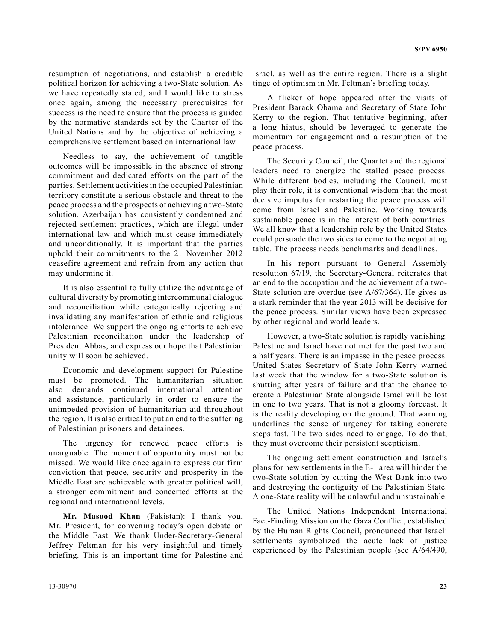resumption of negotiations, and establish a credible political horizon for achieving a two-State solution. As we have repeatedly stated, and I would like to stress once again, among the necessary prerequisites for success is the need to ensure that the process is guided by the normative standards set by the Charter of the United Nations and by the objective of achieving a comprehensive settlement based on international law.

Needless to say, the achievement of tangible outcomes will be impossible in the absence of strong commitment and dedicated efforts on the part of the parties. Settlement activities in the occupied Palestinian territory constitute a serious obstacle and threat to the peace process and the prospects of achieving a two-State solution. Azerbaijan has consistently condemned and rejected settlement practices, which are illegal under international law and which must cease immediately and unconditionally. It is important that the parties uphold their commitments to the 21 November 2012 ceasefire agreement and refrain from any action that may undermine it.

It is also essential to fully utilize the advantage of cultural diversity by promoting intercommunal dialogue and reconciliation while categorically rejecting and invalidating any manifestation of ethnic and religious intolerance. We support the ongoing efforts to achieve Palestinian reconciliation under the leadership of President Abbas, and express our hope that Palestinian unity will soon be achieved.

Economic and development support for Palestine must be promoted. The humanitarian situation also demands continued international attention and assistance, particularly in order to ensure the unimpeded provision of humanitarian aid throughout the region. It is also critical to put an end to the suffering of Palestinian prisoners and detainees.

The urgency for renewed peace efforts is unarguable. The moment of opportunity must not be missed. We would like once again to express our firm conviction that peace, security and prosperity in the Middle East are achievable with greater political will, a stronger commitment and concerted efforts at the regional and international levels.

**Mr. Masood Khan** (Pakistan): I thank you, Mr. President, for convening today's open debate on the Middle East. We thank Under-Secretary-General Jeffrey Feltman for his very insightful and timely briefing. This is an important time for Palestine and Israel, as well as the entire region. There is a slight tinge of optimism in Mr. Feltman's briefing today.

A flicker of hope appeared after the visits of President Barack Obama and Secretary of State John Kerry to the region. That tentative beginning, after a long hiatus, should be leveraged to generate the momentum for engagement and a resumption of the peace process.

The Security Council, the Quartet and the regional leaders need to energize the stalled peace process. While different bodies, including the Council, must play their role, it is conventional wisdom that the most decisive impetus for restarting the peace process will come from Israel and Palestine. Working towards sustainable peace is in the interest of both countries. We all know that a leadership role by the United States could persuade the two sides to come to the negotiating table. The process needs benchmarks and deadlines.

In his report pursuant to General Assembly resolution 67/19, the Secretary-General reiterates that an end to the occupation and the achievement of a two-State solution are overdue (see A/67/364). He gives us a stark reminder that the year 2013 will be decisive for the peace process. Similar views have been expressed by other regional and world leaders.

However, a two-State solution is rapidly vanishing. Palestine and Israel have not met for the past two and a half years. There is an impasse in the peace process. United States Secretary of State John Kerry warned last week that the window for a two-State solution is shutting after years of failure and that the chance to create a Palestinian State alongside Israel will be lost in one to two years. That is not a gloomy forecast. It is the reality developing on the ground. That warning underlines the sense of urgency for taking concrete steps fast. The two sides need to engage. To do that, they must overcome their persistent scepticism.

The ongoing settlement construction and Israel's plans for new settlements in the E-1 area will hinder the two-State solution by cutting the West Bank into two and destroying the contiguity of the Palestinian State. A one-State reality will be unlawful and unsustainable.

The United Nations Independent International Fact-Finding Mission on the Gaza Conflict, established by the Human Rights Council, pronounced that Israeli settlements symbolized the acute lack of justice experienced by the Palestinian people (see A/64/490,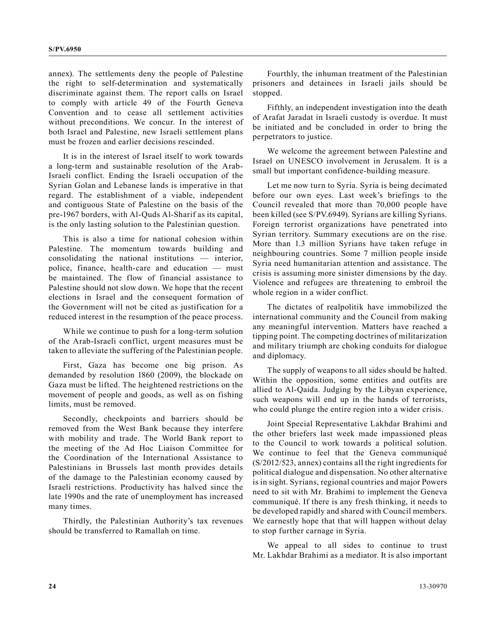annex). The settlements deny the people of Palestine the right to self-determination and systematically discriminate against them. The report calls on Israel to comply with article 49 of the Fourth Geneva Convention and to cease all settlement activities without preconditions. We concur. In the interest of both Israel and Palestine, new Israeli settlement plans must be frozen and earlier decisions rescinded.

It is in the interest of Israel itself to work towards a long-term and sustainable resolution of the Arab-Israeli conflict. Ending the Israeli occupation of the Syrian Golan and Lebanese lands is imperative in that regard. The establishment of a viable, independent and contiguous State of Palestine on the basis of the pre-1967 borders, with Al-Quds Al-Sharif as its capital, is the only lasting solution to the Palestinian question.

This is also a time for national cohesion within Palestine. The momentum towards building and consolidating the national institutions — interior, police, finance, health-care and education — must be maintained. The flow of financial assistance to Palestine should not slow down. We hope that the recent elections in Israel and the consequent formation of the Government will not be cited as justification for a reduced interest in the resumption of the peace process.

While we continue to push for a long-term solution of the Arab-Israeli conflict, urgent measures must be taken to alleviate the suffering of the Palestinian people.

First, Gaza has become one big prison. As demanded by resolution 1860 (2009), the blockade on Gaza must be lifted. The heightened restrictions on the movement of people and goods, as well as on fishing limits, must be removed.

Secondly, checkpoints and barriers should be removed from the West Bank because they interfere with mobility and trade. The World Bank report to the meeting of the Ad Hoc Liaison Committee for the Coordination of the International Assistance to Palestinians in Brussels last month provides details of the damage to the Palestinian economy caused by Israeli restrictions. Productivity has halved since the late 1990s and the rate of unemployment has increased many times.

Thirdly, the Palestinian Authority's tax revenues should be transferred to Ramallah on time.

Fourthly, the inhuman treatment of the Palestinian prisoners and detainees in Israeli jails should be stopped.

Fifthly, an independent investigation into the death of Arafat Jaradat in Israeli custody is overdue. It must be initiated and be concluded in order to bring the perpetrators to justice.

We welcome the agreement between Palestine and Israel on UNESCO involvement in Jerusalem. It is a small but important confidence-building measure.

Let me now turn to Syria. Syria is being decimated before our own eyes. Last week's briefings to the Council revealed that more than 70,000 people have been killed (see S/PV.6949). Syrians are killing Syrians. Foreign terrorist organizations have penetrated into Syrian territory. Summary executions are on the rise. More than 1.3 million Syrians have taken refuge in neighbouring countries. Some 7 million people inside Syria need humanitarian attention and assistance. The crisis is assuming more sinister dimensions by the day. Violence and refugees are threatening to embroil the whole region in a wider conflict.

The dictates of realpolitik have immobilized the international community and the Council from making any meaningful intervention. Matters have reached a tipping point. The competing doctrines of militarization and military triumph are choking conduits for dialogue and diplomacy.

The supply of weapons to all sides should be halted. Within the opposition, some entities and outfits are allied to Al-Qaida. Judging by the Libyan experience, such weapons will end up in the hands of terrorists, who could plunge the entire region into a wider crisis.

Joint Special Representative Lakhdar Brahimi and the other briefers last week made impassioned pleas to the Council to work towards a political solution. We continue to feel that the Geneva communiqué (S/2012/523, annex) contains all the right ingredients for political dialogue and dispensation. No other alternative is in sight. Syrians, regional countries and major Powers need to sit with Mr. Brahimi to implement the Geneva communiqué. If there is any fresh thinking, it needs to be developed rapidly and shared with Council members. We earnestly hope that that will happen without delay to stop further carnage in Syria.

We appeal to all sides to continue to trust Mr. Lakhdar Brahimi as a mediator. It is also important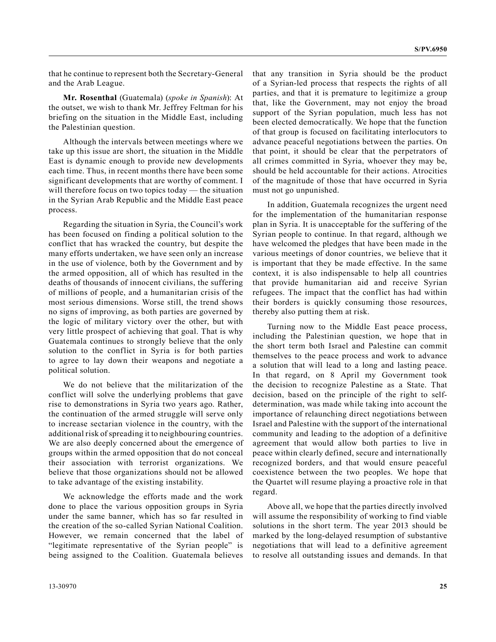that he continue to represent both the Secretary-General and the Arab League.

**Mr. Rosenthal** (Guatemala) (*spoke in Spanish*): At the outset, we wish to thank Mr. Jeffrey Feltman for his briefing on the situation in the Middle East, including the Palestinian question.

Although the intervals between meetings where we take up this issue are short, the situation in the Middle East is dynamic enough to provide new developments each time. Thus, in recent months there have been some significant developments that are worthy of comment. I will therefore focus on two topics today — the situation in the Syrian Arab Republic and the Middle East peace process.

Regarding the situation in Syria, the Council's work has been focused on finding a political solution to the conflict that has wracked the country, but despite the many efforts undertaken, we have seen only an increase in the use of violence, both by the Government and by the armed opposition, all of which has resulted in the deaths of thousands of innocent civilians, the suffering of millions of people, and a humanitarian crisis of the most serious dimensions. Worse still, the trend shows no signs of improving, as both parties are governed by the logic of military victory over the other, but with very little prospect of achieving that goal. That is why Guatemala continues to strongly believe that the only solution to the conflict in Syria is for both parties to agree to lay down their weapons and negotiate a political solution.

We do not believe that the militarization of the conflict will solve the underlying problems that gave rise to demonstrations in Syria two years ago. Rather, the continuation of the armed struggle will serve only to increase sectarian violence in the country, with the additional risk of spreading it to neighbouring countries. We are also deeply concerned about the emergence of groups within the armed opposition that do not conceal their association with terrorist organizations. We believe that those organizations should not be allowed to take advantage of the existing instability.

We acknowledge the efforts made and the work done to place the various opposition groups in Syria under the same banner, which has so far resulted in the creation of the so-called Syrian National Coalition. However, we remain concerned that the label of "legitimate representative of the Syrian people" is being assigned to the Coalition. Guatemala believes

that any transition in Syria should be the product of a Syrian-led process that respects the rights of all parties, and that it is premature to legitimize a group that, like the Government, may not enjoy the broad support of the Syrian population, much less has not been elected democratically. We hope that the function of that group is focused on facilitating interlocutors to advance peaceful negotiations between the parties. On that point, it should be clear that the perpetrators of all crimes committed in Syria, whoever they may be, should be held accountable for their actions. Atrocities of the magnitude of those that have occurred in Syria must not go unpunished.

In addition, Guatemala recognizes the urgent need for the implementation of the humanitarian response plan in Syria. It is unacceptable for the suffering of the Syrian people to continue. In that regard, although we have welcomed the pledges that have been made in the various meetings of donor countries, we believe that it is important that they be made effective. In the same context, it is also indispensable to help all countries that provide humanitarian aid and receive Syrian refugees. The impact that the conflict has had within their borders is quickly consuming those resources, thereby also putting them at risk.

Turning now to the Middle East peace process, including the Palestinian question, we hope that in the short term both Israel and Palestine can commit themselves to the peace process and work to advance a solution that will lead to a long and lasting peace. In that regard, on 8 April my Government took the decision to recognize Palestine as a State. That decision, based on the principle of the right to selfdetermination, was made while taking into account the importance of relaunching direct negotiations between Israel and Palestine with the support of the international community and leading to the adoption of a definitive agreement that would allow both parties to live in peace within clearly defined, secure and internationally recognized borders, and that would ensure peaceful coexistence between the two peoples. We hope that the Quartet will resume playing a proactive role in that regard.

Above all, we hope that the parties directly involved will assume the responsibility of working to find viable solutions in the short term. The year 2013 should be marked by the long-delayed resumption of substantive negotiations that will lead to a definitive agreement to resolve all outstanding issues and demands. In that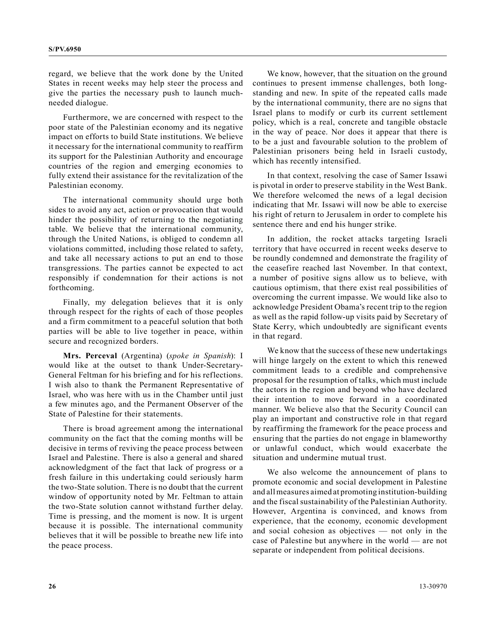regard, we believe that the work done by the United States in recent weeks may help steer the process and give the parties the necessary push to launch muchneeded dialogue.

Furthermore, we are concerned with respect to the poor state of the Palestinian economy and its negative impact on efforts to build State institutions. We believe it necessary for the international community to reaffirm its support for the Palestinian Authority and encourage countries of the region and emerging economies to fully extend their assistance for the revitalization of the Palestinian economy.

The international community should urge both sides to avoid any act, action or provocation that would hinder the possibility of returning to the negotiating table. We believe that the international community, through the United Nations, is obliged to condemn all violations committed, including those related to safety, and take all necessary actions to put an end to those transgressions. The parties cannot be expected to act responsibly if condemnation for their actions is not forthcoming.

Finally, my delegation believes that it is only through respect for the rights of each of those peoples and a firm commitment to a peaceful solution that both parties will be able to live together in peace, within secure and recognized borders.

**Mrs. Perceval** (Argentina) (*spoke in Spanish*): I would like at the outset to thank Under-Secretary-General Feltman for his briefing and for his reflections. I wish also to thank the Permanent Representative of Israel, who was here with us in the Chamber until just a few minutes ago, and the Permanent Observer of the State of Palestine for their statements.

There is broad agreement among the international community on the fact that the coming months will be decisive in terms of reviving the peace process between Israel and Palestine. There is also a general and shared acknowledgment of the fact that lack of progress or a fresh failure in this undertaking could seriously harm the two-State solution. There is no doubt that the current window of opportunity noted by Mr. Feltman to attain the two-State solution cannot withstand further delay. Time is pressing, and the moment is now. It is urgent because it is possible. The international community believes that it will be possible to breathe new life into the peace process.

We know, however, that the situation on the ground continues to present immense challenges, both longstanding and new. In spite of the repeated calls made by the international community, there are no signs that Israel plans to modify or curb its current settlement policy, which is a real, concrete and tangible obstacle in the way of peace. Nor does it appear that there is to be a just and favourable solution to the problem of Palestinian prisoners being held in Israeli custody, which has recently intensified.

In that context, resolving the case of Samer Issawi is pivotal in order to preserve stability in the West Bank. We therefore welcomed the news of a legal decision indicating that Mr. Issawi will now be able to exercise his right of return to Jerusalem in order to complete his sentence there and end his hunger strike.

In addition, the rocket attacks targeting Israeli territory that have occurred in recent weeks deserve to be roundly condemned and demonstrate the fragility of the ceasefire reached last November. In that context, a number of positive signs allow us to believe, with cautious optimism, that there exist real possibilities of overcoming the current impasse. We would like also to acknowledge President Obama's recent trip to the region as well as the rapid follow-up visits paid by Secretary of State Kerry, which undoubtedly are significant events in that regard.

We know that the success of these new undertakings will hinge largely on the extent to which this renewed commitment leads to a credible and comprehensive proposal for the resumption of talks, which must include the actors in the region and beyond who have declared their intention to move forward in a coordinated manner. We believe also that the Security Council can play an important and constructive role in that regard by reaffirming the framework for the peace process and ensuring that the parties do not engage in blameworthy or unlawful conduct, which would exacerbate the situation and undermine mutual trust.

We also welcome the announcement of plans to promote economic and social development in Palestine and all measures aimed at promoting institution-building and the fiscal sustainability of the Palestinian Authority. However, Argentina is convinced, and knows from experience, that the economy, economic development and social cohesion as objectives — not only in the case of Palestine but anywhere in the world — are not separate or independent from political decisions.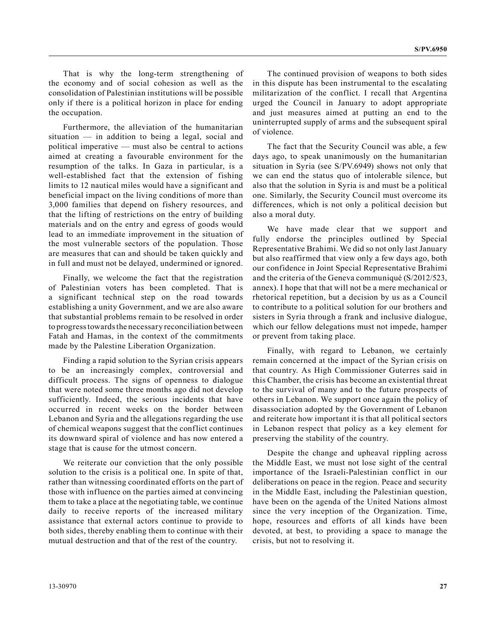That is why the long-term strengthening of the economy and of social cohesion as well as the consolidation of Palestinian institutions will be possible only if there is a political horizon in place for ending the occupation.

Furthermore, the alleviation of the humanitarian situation  $-$  in addition to being a legal, social and political imperative — must also be central to actions aimed at creating a favourable environment for the resumption of the talks. In Gaza in particular, is a well-established fact that the extension of fishing limits to 12 nautical miles would have a significant and beneficial impact on the living conditions of more than 3,000 families that depend on fishery resources, and that the lifting of restrictions on the entry of building materials and on the entry and egress of goods would lead to an immediate improvement in the situation of the most vulnerable sectors of the population. Those are measures that can and should be taken quickly and in full and must not be delayed, undermined or ignored.

Finally, we welcome the fact that the registration of Palestinian voters has been completed. That is a significant technical step on the road towards establishing a unity Government, and we are also aware that substantial problems remain to be resolved in order to progress towards the necessary reconciliation between Fatah and Hamas, in the context of the commitments made by the Palestine Liberation Organization.

Finding a rapid solution to the Syrian crisis appears to be an increasingly complex, controversial and difficult process. The signs of openness to dialogue that were noted some three months ago did not develop sufficiently. Indeed, the serious incidents that have occurred in recent weeks on the border between Lebanon and Syria and the allegations regarding the use of chemical weapons suggest that the conflict continues its downward spiral of violence and has now entered a stage that is cause for the utmost concern.

We reiterate our conviction that the only possible solution to the crisis is a political one. In spite of that, rather than witnessing coordinated efforts on the part of those with influence on the parties aimed at convincing them to take a place at the negotiating table, we continue daily to receive reports of the increased military assistance that external actors continue to provide to both sides, thereby enabling them to continue with their mutual destruction and that of the rest of the country.

The continued provision of weapons to both sides in this dispute has been instrumental to the escalating militarization of the conflict. I recall that Argentina urged the Council in January to adopt appropriate and just measures aimed at putting an end to the uninterrupted supply of arms and the subsequent spiral of violence.

The fact that the Security Council was able, a few days ago, to speak unanimously on the humanitarian situation in Syria (see S/PV.6949) shows not only that we can end the status quo of intolerable silence, but also that the solution in Syria is and must be a political one. Similarly, the Security Council must overcome its differences, which is not only a political decision but also a moral duty.

We have made clear that we support and fully endorse the principles outlined by Special Representative Brahimi. We did so not only last January but also reaffirmed that view only a few days ago, both our confidence in Joint Special Representative Brahimi and the criteria of the Geneva communiqué (S/2012/523, annex). I hope that that will not be a mere mechanical or rhetorical repetition, but a decision by us as a Council to contribute to a political solution for our brothers and sisters in Syria through a frank and inclusive dialogue, which our fellow delegations must not impede, hamper or prevent from taking place.

Finally, with regard to Lebanon, we certainly remain concerned at the impact of the Syrian crisis on that country. As High Commissioner Guterres said in this Chamber, the crisis has become an existential threat to the survival of many and to the future prospects of others in Lebanon. We support once again the policy of disassociation adopted by the Government of Lebanon and reiterate how important it is that all political sectors in Lebanon respect that policy as a key element for preserving the stability of the country.

Despite the change and upheaval rippling across the Middle East, we must not lose sight of the central importance of the Israeli-Palestinian conflict in our deliberations on peace in the region. Peace and security in the Middle East, including the Palestinian question, have been on the agenda of the United Nations almost since the very inception of the Organization. Time, hope, resources and efforts of all kinds have been devoted, at best, to providing a space to manage the crisis, but not to resolving it.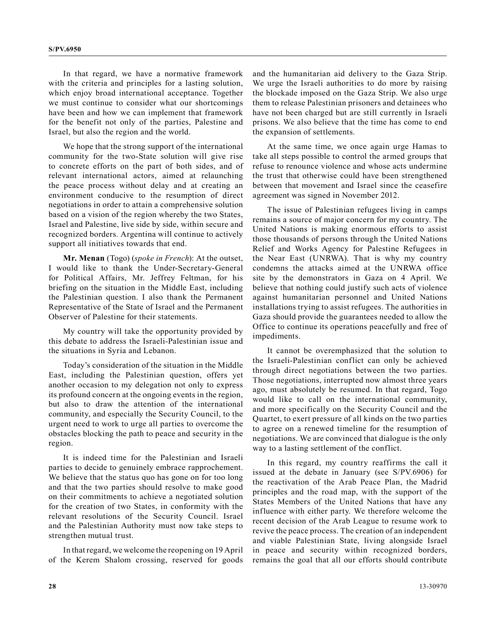In that regard, we have a normative framework with the criteria and principles for a lasting solution, which enjoy broad international acceptance. Together we must continue to consider what our shortcomings have been and how we can implement that framework for the benefit not only of the parties, Palestine and Israel, but also the region and the world.

We hope that the strong support of the international community for the two-State solution will give rise to concrete efforts on the part of both sides, and of relevant international actors, aimed at relaunching the peace process without delay and at creating an environment conducive to the resumption of direct negotiations in order to attain a comprehensive solution based on a vision of the region whereby the two States, Israel and Palestine, live side by side, within secure and recognized borders. Argentina will continue to actively support all initiatives towards that end.

**Mr. Menan** (Togo) (*spoke in French*): At the outset, I would like to thank the Under-Secretary-General for Political Affairs, Mr. Jeffrey Feltman, for his briefing on the situation in the Middle East, including the Palestinian question. I also thank the Permanent Representative of the State of Israel and the Permanent Observer of Palestine for their statements.

My country will take the opportunity provided by this debate to address the Israeli-Palestinian issue and the situations in Syria and Lebanon.

Today's consideration of the situation in the Middle East, including the Palestinian question, offers yet another occasion to my delegation not only to express its profound concern at the ongoing events in the region, but also to draw the attention of the international community, and especially the Security Council, to the urgent need to work to urge all parties to overcome the obstacles blocking the path to peace and security in the region.

It is indeed time for the Palestinian and Israeli parties to decide to genuinely embrace rapprochement. We believe that the status quo has gone on for too long and that the two parties should resolve to make good on their commitments to achieve a negotiated solution for the creation of two States, in conformity with the relevant resolutions of the Security Council. Israel and the Palestinian Authority must now take steps to strengthen mutual trust.

In that regard, we welcome the reopening on 19 April of the Kerem Shalom crossing, reserved for goods and the humanitarian aid delivery to the Gaza Strip. We urge the Israeli authorities to do more by raising the blockade imposed on the Gaza Strip. We also urge them to release Palestinian prisoners and detainees who have not been charged but are still currently in Israeli prisons. We also believe that the time has come to end the expansion of settlements.

At the same time, we once again urge Hamas to take all steps possible to control the armed groups that refuse to renounce violence and whose acts undermine the trust that otherwise could have been strengthened between that movement and Israel since the ceasefire agreement was signed in November 2012.

The issue of Palestinian refugees living in camps remains a source of major concern for my country. The United Nations is making enormous efforts to assist those thousands of persons through the United Nations Relief and Works Agency for Palestine Refugees in the Near East (UNRWA). That is why my country condemns the attacks aimed at the UNRWA office site by the demonstrators in Gaza on 4 April. We believe that nothing could justify such acts of violence against humanitarian personnel and United Nations installations trying to assist refugees. The authorities in Gaza should provide the guarantees needed to allow the Office to continue its operations peacefully and free of impediments.

It cannot be overemphasized that the solution to the Israeli-Palestinian conflict can only be achieved through direct negotiations between the two parties. Those negotiations, interrupted now almost three years ago, must absolutely be resumed. In that regard, Togo would like to call on the international community, and more specifically on the Security Council and the Quartet, to exert pressure of all kinds on the two parties to agree on a renewed timeline for the resumption of negotiations. We are convinced that dialogue is the only way to a lasting settlement of the conflict.

In this regard, my country reaffirms the call it issued at the debate in January (see S/PV.6906) for the reactivation of the Arab Peace Plan, the Madrid principles and the road map, with the support of the States Members of the United Nations that have any influence with either party. We therefore welcome the recent decision of the Arab League to resume work to revive the peace process. The creation of an independent and viable Palestinian State, living alongside Israel in peace and security within recognized borders, remains the goal that all our efforts should contribute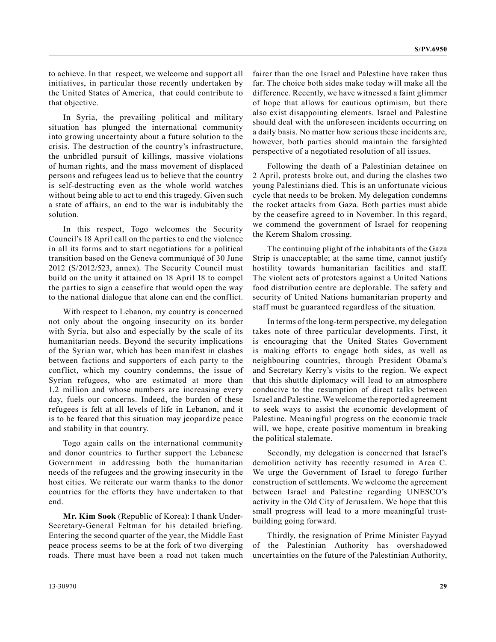to achieve. In that respect, we welcome and support all initiatives, in particular those recently undertaken by the United States of America, that could contribute to that objective.

In Syria, the prevailing political and military situation has plunged the international community into growing uncertainty about a future solution to the crisis. The destruction of the country's infrastructure, the unbridled pursuit of killings, massive violations of human rights, and the mass movement of displaced persons and refugees lead us to believe that the country is self-destructing even as the whole world watches without being able to act to end this tragedy. Given such a state of affairs, an end to the war is indubitably the solution.

In this respect, Togo welcomes the Security Council's 18 April call on the parties to end the violence in all its forms and to start negotiations for a political transition based on the Geneva communiqué of 30 June 2012 (S/2012/523, annex). The Security Council must build on the unity it attained on 18 April 18 to compel the parties to sign a ceasefire that would open the way to the national dialogue that alone can end the conflict.

With respect to Lebanon, my country is concerned not only about the ongoing insecurity on its border with Syria, but also and especially by the scale of its humanitarian needs. Beyond the security implications of the Syrian war, which has been manifest in clashes between factions and supporters of each party to the conflict, which my country condemns, the issue of Syrian refugees, who are estimated at more than 1.2 million and whose numbers are increasing every day, fuels our concerns. Indeed, the burden of these refugees is felt at all levels of life in Lebanon, and it is to be feared that this situation may jeopardize peace and stability in that country.

Togo again calls on the international community and donor countries to further support the Lebanese Government in addressing both the humanitarian needs of the refugees and the growing insecurity in the host cities. We reiterate our warm thanks to the donor countries for the efforts they have undertaken to that end.

**Mr. Kim Sook** (Republic of Korea): I thank Under-Secretary-General Feltman for his detailed briefing. Entering the second quarter of the year, the Middle East peace process seems to be at the fork of two diverging roads. There must have been a road not taken much fairer than the one Israel and Palestine have taken thus far. The choice both sides make today will make all the difference. Recently, we have witnessed a faint glimmer of hope that allows for cautious optimism, but there also exist disappointing elements. Israel and Palestine should deal with the unforeseen incidents occurring on a daily basis. No matter how serious these incidents are, however, both parties should maintain the farsighted perspective of a negotiated resolution of all issues.

Following the death of a Palestinian detainee on 2 April, protests broke out, and during the clashes two young Palestinians died. This is an unfortunate vicious cycle that needs to be broken. My delegation condemns the rocket attacks from Gaza. Both parties must abide by the ceasefire agreed to in November. In this regard, we commend the government of Israel for reopening the Kerem Shalom crossing.

The continuing plight of the inhabitants of the Gaza Strip is unacceptable; at the same time, cannot justify hostility towards humanitarian facilities and staff. The violent acts of protestors against a United Nations food distribution centre are deplorable. The safety and security of United Nations humanitarian property and staff must be guaranteed regardless of the situation.

In terms of the long-term perspective, my delegation takes note of three particular developments. First, it is encouraging that the United States Government is making efforts to engage both sides, as well as neighbouring countries, through President Obama's and Secretary Kerry's visits to the region. We expect that this shuttle diplomacy will lead to an atmosphere conducive to the resumption of direct talks between Israel and Palestine. We welcome the reported agreement to seek ways to assist the economic development of Palestine. Meaningful progress on the economic track will, we hope, create positive momentum in breaking the political stalemate.

Secondly, my delegation is concerned that Israel's demolition activity has recently resumed in Area C. We urge the Government of Israel to forego further construction of settlements. We welcome the agreement between Israel and Palestine regarding UNESCO's activity in the Old City of Jerusalem. We hope that this small progress will lead to a more meaningful trustbuilding going forward.

Thirdly, the resignation of Prime Minister Fayyad of the Palestinian Authority has overshadowed uncertainties on the future of the Palestinian Authority,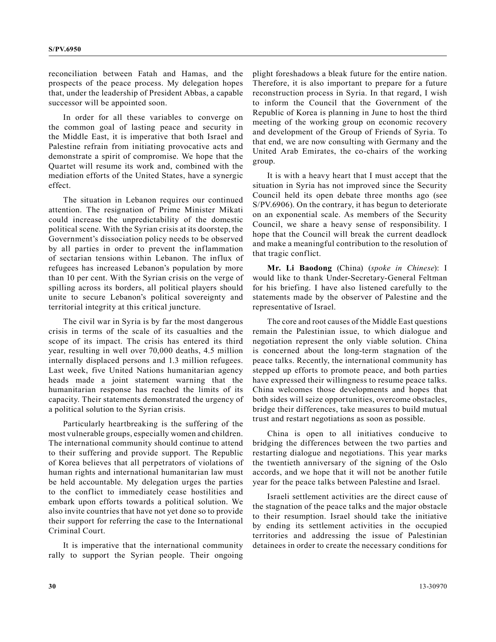reconciliation between Fatah and Hamas, and the prospects of the peace process. My delegation hopes that, under the leadership of President Abbas, a capable successor will be appointed soon.

In order for all these variables to converge on the common goal of lasting peace and security in the Middle East, it is imperative that both Israel and Palestine refrain from initiating provocative acts and demonstrate a spirit of compromise. We hope that the Quartet will resume its work and, combined with the mediation efforts of the United States, have a synergic effect.

The situation in Lebanon requires our continued attention. The resignation of Prime Minister Mikati could increase the unpredictability of the domestic political scene. With the Syrian crisis at its doorstep, the Government's dissociation policy needs to be observed by all parties in order to prevent the inflammation of sectarian tensions within Lebanon. The influx of refugees has increased Lebanon's population by more than 10 per cent. With the Syrian crisis on the verge of spilling across its borders, all political players should unite to secure Lebanon's political sovereignty and territorial integrity at this critical juncture.

The civil war in Syria is by far the most dangerous crisis in terms of the scale of its casualties and the scope of its impact. The crisis has entered its third year, resulting in well over 70,000 deaths, 4.5 million internally displaced persons and 1.3 million refugees. Last week, five United Nations humanitarian agency heads made a joint statement warning that the humanitarian response has reached the limits of its capacity. Their statements demonstrated the urgency of a political solution to the Syrian crisis.

Particularly heartbreaking is the suffering of the most vulnerable groups, especially women and children. The international community should continue to attend to their suffering and provide support. The Republic of Korea believes that all perpetrators of violations of human rights and international humanitarian law must be held accountable. My delegation urges the parties to the conflict to immediately cease hostilities and embark upon efforts towards a political solution. We also invite countries that have not yet done so to provide their support for referring the case to the International Criminal Court.

It is imperative that the international community rally to support the Syrian people. Their ongoing plight foreshadows a bleak future for the entire nation. Therefore, it is also important to prepare for a future reconstruction process in Syria. In that regard, I wish to inform the Council that the Government of the Republic of Korea is planning in June to host the third meeting of the working group on economic recovery and development of the Group of Friends of Syria. To that end, we are now consulting with Germany and the United Arab Emirates, the co-chairs of the working group.

It is with a heavy heart that I must accept that the situation in Syria has not improved since the Security Council held its open debate three months ago (see S/PV.6906). On the contrary, it has begun to deteriorate on an exponential scale. As members of the Security Council, we share a heavy sense of responsibility. I hope that the Council will break the current deadlock and make a meaningful contribution to the resolution of that tragic conflict.

**Mr. Li Baodong** (China) (*spoke in Chinese*): I would like to thank Under-Secretary-General Feltman for his briefing. I have also listened carefully to the statements made by the observer of Palestine and the representative of Israel.

The core and root causes of the Middle East questions remain the Palestinian issue, to which dialogue and negotiation represent the only viable solution. China is concerned about the long-term stagnation of the peace talks. Recently, the international community has stepped up efforts to promote peace, and both parties have expressed their willingness to resume peace talks. China welcomes those developments and hopes that both sides will seize opportunities, overcome obstacles, bridge their differences, take measures to build mutual trust and restart negotiations as soon as possible.

China is open to all initiatives conducive to bridging the differences between the two parties and restarting dialogue and negotiations. This year marks the twentieth anniversary of the signing of the Oslo accords, and we hope that it will not be another futile year for the peace talks between Palestine and Israel.

Israeli settlement activities are the direct cause of the stagnation of the peace talks and the major obstacle to their resumption. Israel should take the initiative by ending its settlement activities in the occupied territories and addressing the issue of Palestinian detainees in order to create the necessary conditions for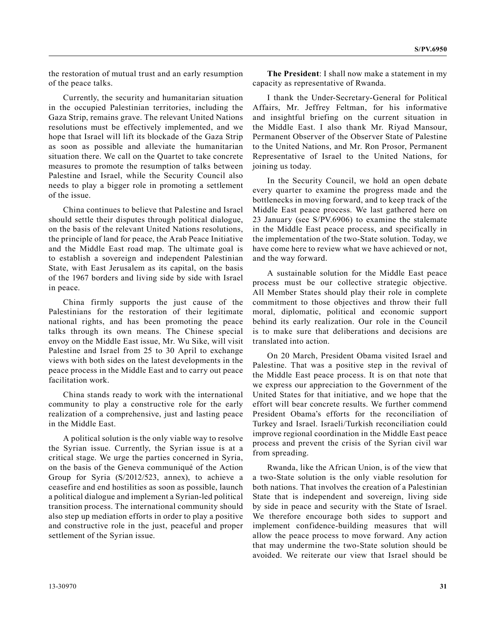the restoration of mutual trust and an early resumption of the peace talks.

Currently, the security and humanitarian situation in the occupied Palestinian territories, including the Gaza Strip, remains grave. The relevant United Nations resolutions must be effectively implemented, and we hope that Israel will lift its blockade of the Gaza Strip as soon as possible and alleviate the humanitarian situation there. We call on the Quartet to take concrete measures to promote the resumption of talks between Palestine and Israel, while the Security Council also needs to play a bigger role in promoting a settlement of the issue.

China continues to believe that Palestine and Israel should settle their disputes through political dialogue, on the basis of the relevant United Nations resolutions, the principle of land for peace, the Arab Peace Initiative and the Middle East road map. The ultimate goal is to establish a sovereign and independent Palestinian State, with East Jerusalem as its capital, on the basis of the 1967 borders and living side by side with Israel in peace.

China firmly supports the just cause of the Palestinians for the restoration of their legitimate national rights, and has been promoting the peace talks through its own means. The Chinese special envoy on the Middle East issue, Mr. Wu Sike, will visit Palestine and Israel from 25 to 30 April to exchange views with both sides on the latest developments in the peace process in the Middle East and to carry out peace facilitation work.

China stands ready to work with the international community to play a constructive role for the early realization of a comprehensive, just and lasting peace in the Middle East.

A political solution is the only viable way to resolve the Syrian issue. Currently, the Syrian issue is at a critical stage. We urge the parties concerned in Syria, on the basis of the Geneva communiqué of the Action Group for Syria (S/2012/523, annex), to achieve a ceasefire and end hostilities as soon as possible, launch a political dialogue and implement a Syrian-led political transition process. The international community should also step up mediation efforts in order to play a positive and constructive role in the just, peaceful and proper settlement of the Syrian issue.

**The President**: I shall now make a statement in my capacity as representative of Rwanda.

I thank the Under-Secretary-General for Political Affairs, Mr. Jeffrey Feltman, for his informative and insightful briefing on the current situation in the Middle East. I also thank Mr. Riyad Mansour, Permanent Observer of the Observer State of Palestine to the United Nations, and Mr. Ron Prosor, Permanent Representative of Israel to the United Nations, for joining us today.

In the Security Council, we hold an open debate every quarter to examine the progress made and the bottlenecks in moving forward, and to keep track of the Middle East peace process. We last gathered here on 23 January (see S/PV.6906) to examine the stalemate in the Middle East peace process, and specifically in the implementation of the two-State solution. Today, we have come here to review what we have achieved or not, and the way forward.

A sustainable solution for the Middle East peace process must be our collective strategic objective. All Member States should play their role in complete commitment to those objectives and throw their full moral, diplomatic, political and economic support behind its early realization. Our role in the Council is to make sure that deliberations and decisions are translated into action.

On 20 March, President Obama visited Israel and Palestine. That was a positive step in the revival of the Middle East peace process. It is on that note that we express our appreciation to the Government of the United States for that initiative, and we hope that the effort will bear concrete results. We further commend President Obama's efforts for the reconciliation of Turkey and Israel. Israeli/Turkish reconciliation could improve regional coordination in the Middle East peace process and prevent the crisis of the Syrian civil war from spreading.

Rwanda, like the African Union, is of the view that a two-State solution is the only viable resolution for both nations. That involves the creation of a Palestinian State that is independent and sovereign, living side by side in peace and security with the State of Israel. We therefore encourage both sides to support and implement confidence-building measures that will allow the peace process to move forward. Any action that may undermine the two-State solution should be avoided. We reiterate our view that Israel should be